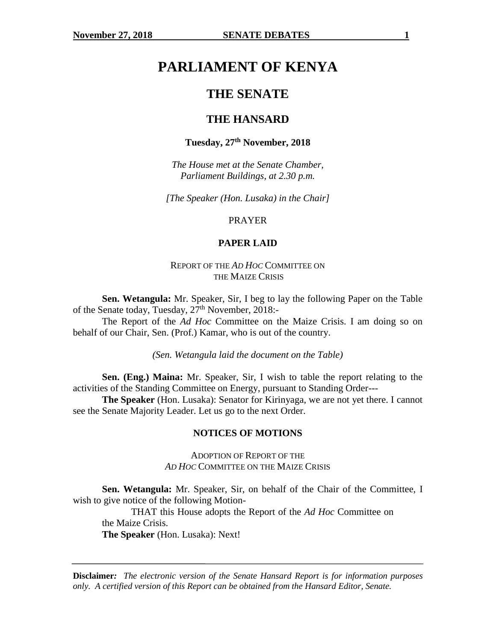# **PARLIAMENT OF KENYA**

# **THE SENATE**

# **THE HANSARD**

# **Tuesday, 27th November, 2018**

*The House met at the Senate Chamber, Parliament Buildings, at 2.30 p.m.*

*[The Speaker (Hon. Lusaka) in the Chair]*

PRAYER

# **PAPER LAID**

### REPORT OF THE *AD HOC* COMMITTEE ON THE MAIZE CRISIS

**Sen. Wetangula:** Mr. Speaker, Sir, I beg to lay the following Paper on the Table of the Senate today, Tuesday,  $27<sup>th</sup>$  November, 2018:-

The Report of the *Ad Hoc* Committee on the Maize Crisis. I am doing so on behalf of our Chair, Sen. (Prof.) Kamar, who is out of the country.

*(Sen. Wetangula laid the document on the Table)*

**Sen. (Eng.) Maina:** Mr. Speaker, Sir, I wish to table the report relating to the activities of the Standing Committee on Energy, pursuant to Standing Order---

**The Speaker** (Hon. Lusaka): Senator for Kirinyaga, we are not yet there. I cannot see the Senate Majority Leader. Let us go to the next Order.

#### **NOTICES OF MOTIONS**

ADOPTION OF REPORT OF THE *AD HOC* COMMITTEE ON THE MAIZE CRISIS

**Sen. Wetangula:** Mr. Speaker, Sir, on behalf of the Chair of the Committee, I wish to give notice of the following Motion-

THAT this House adopts the Report of the *Ad Hoc* Committee on the Maize Crisis. **The Speaker** (Hon. Lusaka): Next!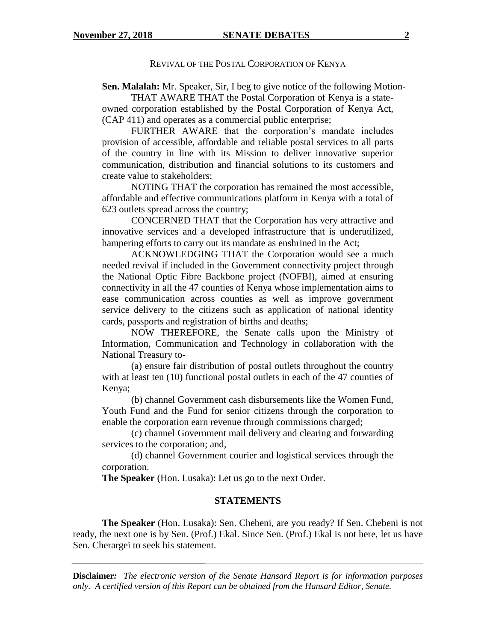#### REVIVAL OF THE POSTAL CORPORATION OF KENYA

**Sen. Malalah:** Mr. Speaker, Sir, I beg to give notice of the following Motion-

THAT AWARE THAT the Postal Corporation of Kenya is a stateowned corporation established by the Postal Corporation of Kenya Act, (CAP 411) and operates as a commercial public enterprise;

FURTHER AWARE that the corporation's mandate includes provision of accessible, affordable and reliable postal services to all parts of the country in line with its Mission to deliver innovative superior communication, distribution and financial solutions to its customers and create value to stakeholders;

NOTING THAT the corporation has remained the most accessible, affordable and effective communications platform in Kenya with a total of 623 outlets spread across the country;

CONCERNED THAT that the Corporation has very attractive and innovative services and a developed infrastructure that is underutilized, hampering efforts to carry out its mandate as enshrined in the Act;

ACKNOWLEDGING THAT the Corporation would see a much needed revival if included in the Government connectivity project through the National Optic Fibre Backbone project (NOFBI), aimed at ensuring connectivity in all the 47 counties of Kenya whose implementation aims to ease communication across counties as well as improve government service delivery to the citizens such as application of national identity cards, passports and registration of births and deaths;

NOW THEREFORE, the Senate calls upon the Ministry of Information, Communication and Technology in collaboration with the National Treasury to-

(a) ensure fair distribution of postal outlets throughout the country with at least ten (10) functional postal outlets in each of the 47 counties of Kenya;

(b) channel Government cash disbursements like the Women Fund, Youth Fund and the Fund for senior citizens through the corporation to enable the corporation earn revenue through commissions charged;

(c) channel Government mail delivery and clearing and forwarding services to the corporation; and,

(d) channel Government courier and logistical services through the corporation.

**The Speaker** (Hon. Lusaka): Let us go to the next Order.

#### **STATEMENTS**

**The Speaker** (Hon. Lusaka): Sen. Chebeni, are you ready? If Sen. Chebeni is not ready, the next one is by Sen. (Prof.) Ekal. Since Sen. (Prof.) Ekal is not here, let us have Sen. Cherargei to seek his statement.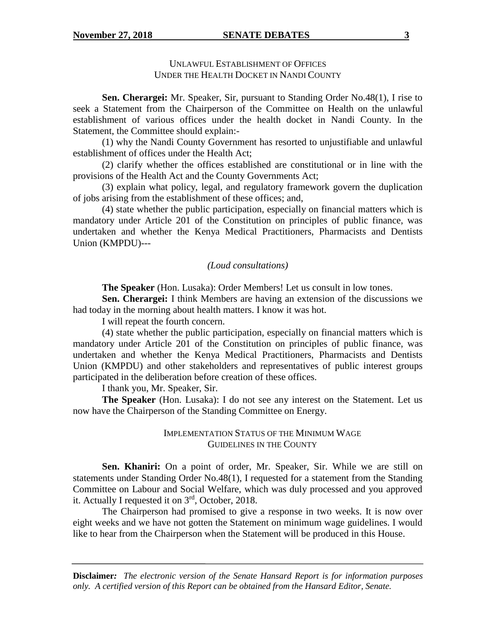UNLAWFUL ESTABLISHMENT OF OFFICES UNDER THE HEALTH DOCKET IN NANDI COUNTY

**Sen. Cherargei:** Mr. Speaker, Sir, pursuant to Standing Order No.48(1), I rise to seek a Statement from the Chairperson of the Committee on Health on the unlawful establishment of various offices under the health docket in Nandi County. In the Statement, the Committee should explain:-

(1) why the Nandi County Government has resorted to unjustifiable and unlawful establishment of offices under the Health Act;

(2) clarify whether the offices established are constitutional or in line with the provisions of the Health Act and the County Governments Act;

(3) explain what policy, legal, and regulatory framework govern the duplication of jobs arising from the establishment of these offices; and,

(4) state whether the public participation, especially on financial matters which is mandatory under Article 201 of the Constitution on principles of public finance, was undertaken and whether the Kenya Medical Practitioners, Pharmacists and Dentists Union (KMPDU)---

# *(Loud consultations)*

**The Speaker** (Hon. Lusaka): Order Members! Let us consult in low tones.

**Sen. Cherargei:** I think Members are having an extension of the discussions we had today in the morning about health matters. I know it was hot.

I will repeat the fourth concern.

(4) state whether the public participation, especially on financial matters which is mandatory under Article 201 of the Constitution on principles of public finance, was undertaken and whether the Kenya Medical Practitioners, Pharmacists and Dentists Union (KMPDU) and other stakeholders and representatives of public interest groups participated in the deliberation before creation of these offices.

I thank you, Mr. Speaker, Sir.

**The Speaker** (Hon. Lusaka): I do not see any interest on the Statement. Let us now have the Chairperson of the Standing Committee on Energy.

### IMPLEMENTATION STATUS OF THE MINIMUM WAGE GUIDELINES IN THE COUNTY

**Sen. Khaniri:** On a point of order, Mr. Speaker, Sir. While we are still on statements under Standing Order No.48(1), I requested for a statement from the Standing Committee on Labour and Social Welfare, which was duly processed and you approved it. Actually I requested it on  $3<sup>rd</sup>$ , October, 2018.

The Chairperson had promised to give a response in two weeks. It is now over eight weeks and we have not gotten the Statement on minimum wage guidelines. I would like to hear from the Chairperson when the Statement will be produced in this House.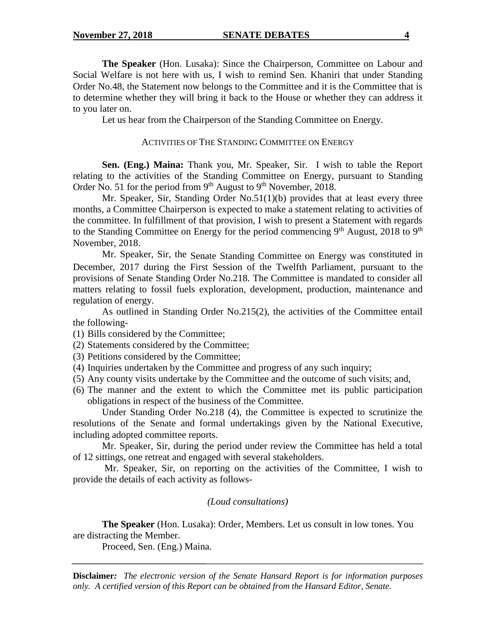**The Speaker** (Hon. Lusaka): Since the Chairperson, Committee on Labour and Social Welfare is not here with us, I wish to remind Sen. Khaniri that under Standing Order No.48, the Statement now belongs to the Committee and it is the Committee that is to determine whether they will bring it back to the House or whether they can address it to you later on.

Let us hear from the Chairperson of the Standing Committee on Energy.

#### ACTIVITIES OF THE STANDING COMMITTEE ON ENERGY

**Sen. (Eng.) Maina:** Thank you, Mr. Speaker, Sir. I wish to table the Report relating to the activities of the Standing Committee on Energy, pursuant to Standing Order No. 51 for the period from  $9<sup>th</sup>$  August to  $9<sup>th</sup>$  November, 2018.

Mr. Speaker, Sir, Standing Order No.51(1)(b) provides that at least every three months, a Committee Chairperson is expected to make a statement relating to activities of the committee. In fulfillment of that provision, I wish to present a Statement with regards to the Standing Committee on Energy for the period commencing  $9<sup>th</sup>$  August, 2018 to  $9<sup>th</sup>$ November, 2018.

Mr. Speaker, Sir, the Senate Standing Committee on Energy was constituted in December, 2017 during the First Session of the Twelfth Parliament, pursuant to the provisions of Senate Standing Order No.218. The Committee is mandated to consider all matters relating to fossil fuels exploration, development, production, maintenance and regulation of energy.

As outlined in Standing Order No.215(2), the activities of the Committee entail the following-

(1) Bills considered by the Committee;

- (2) Statements considered by the Committee;
- (3) Petitions considered by the Committee;
- (4) Inquiries undertaken by the Committee and progress of any such inquiry;
- (5) Any county visits undertake by the Committee and the outcome of such visits; and,
- (6) The manner and the extent to which the Committee met its public participation obligations in respect of the business of the Committee.

Under Standing Order No.218 (4), the Committee is expected to scrutinize the resolutions of the Senate and formal undertakings given by the National Executive, including adopted committee reports.

Mr. Speaker, Sir, during the period under review the Committee has held a total of 12 sittings, one retreat and engaged with several stakeholders.

Mr. Speaker, Sir, on reporting on the activities of the Committee, I wish to provide the details of each activity as follows-

#### *(Loud consultations)*

**The Speaker** (Hon. Lusaka): Order, Members. Let us consult in low tones. You are distracting the Member.

Proceed, Sen. (Eng.) Maina.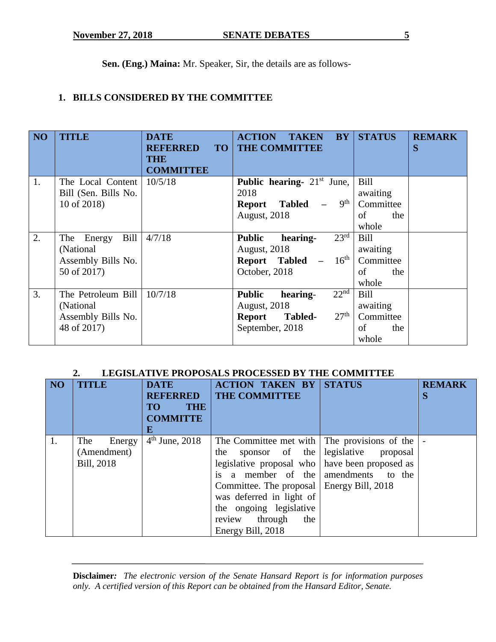**Sen. (Eng.) Maina:** Mr. Speaker, Sir, the details are as follows-

# **1. BILLS CONSIDERED BY THE COMMITTEE**

| NO <sub>1</sub> | <b>TITLE</b>                                                            | <b>DATE</b><br><b>REFERRED</b><br><b>TO</b><br><b>THE</b><br><b>COMMITTEE</b> | <b>BY</b><br><b>ACTION</b><br><b>TAKEN</b><br><b>THE COMMITTEE</b>                                                                      | <b>STATUS</b>                                       | <b>REMARK</b><br>S |
|-----------------|-------------------------------------------------------------------------|-------------------------------------------------------------------------------|-----------------------------------------------------------------------------------------------------------------------------------------|-----------------------------------------------------|--------------------|
| 1.              | The Local Content<br>Bill (Sen. Bills No.<br>10 of 2018)                | 10/5/18                                                                       | <b>Public hearing-</b> $21st$ June,<br>2018<br>9 <sup>th</sup><br>Tabled<br><b>Report</b><br><b>August, 2018</b>                        | Bill<br>awaiting<br>Committee<br>of<br>the<br>whole |                    |
| 2.              | Bill<br>Energy<br>The<br>(National<br>Assembly Bills No.<br>50 of 2017) | 4/7/18                                                                        | $23^{\overline{\text{rd}}}$<br><b>Public</b><br>hearing-<br><b>August, 2018</b><br><b>Report Tabled</b> $- 16^{th}$<br>October, 2018    | Bill<br>awaiting<br>Committee<br>of<br>the<br>whole |                    |
| 3.              | The Petroleum Bill<br>(National)<br>Assembly Bills No.<br>48 of 2017)   | 10/7/18                                                                       | 22 <sup>nd</sup><br><b>Public</b><br>hearing-<br>August, 2018<br>27 <sup>th</sup><br><b>Tabled-</b><br><b>Report</b><br>September, 2018 | Bill<br>awaiting<br>Committee<br>of<br>the<br>whole |                    |

# **2. LEGISLATIVE PROPOSALS PROCESSED BY THE COMMITTEE**

| N <sub>O</sub> | <b>TITLE</b>                               | <b>DATE</b><br><b>REFERRED</b><br><b>THE</b><br>TO <sub>1</sub><br><b>COMMITTE</b><br>E | <b>ACTION TAKEN BY</b><br><b>THE COMMITTEE</b>                                                                                                                                                                                                                                                                      | <b>STATUS</b>                       | <b>REMARK</b><br>S |
|----------------|--------------------------------------------|-----------------------------------------------------------------------------------------|---------------------------------------------------------------------------------------------------------------------------------------------------------------------------------------------------------------------------------------------------------------------------------------------------------------------|-------------------------------------|--------------------|
| 1.             | The<br>Energy<br>(Amendment)<br>Bill, 2018 | $4th$ June, 2018                                                                        | The Committee met with $\vert$ The provisions of the $\vert$<br>the<br>legislative proposal who   have been proposed as<br>is a member of the amendments to the<br>Committee. The proposal   Energy Bill, 2018<br>was deferred in light of<br>the ongoing legislative<br>review through<br>the<br>Energy Bill, 2018 | sponsor of the legislative proposal | $\overline{a}$     |

| <b>Disclaimer:</b> The electronic version of the Senate Hansard Report is for information purposes |  |  |
|----------------------------------------------------------------------------------------------------|--|--|
| only. A certified version of this Report can be obtained from the Hansard Editor, Senate.          |  |  |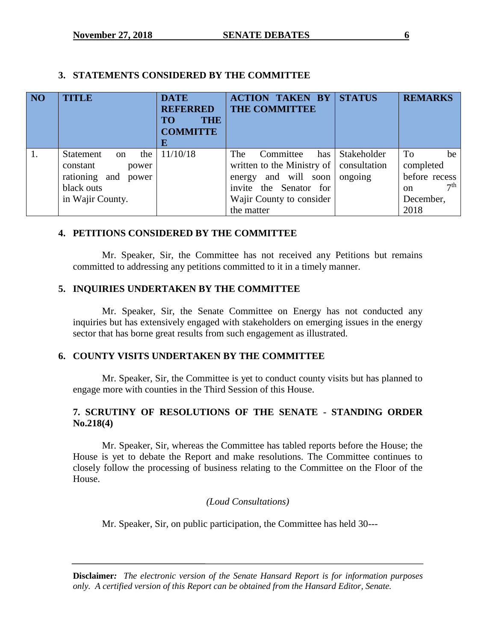# **3. STATEMENTS CONSIDERED BY THE COMMITTEE**

| NO | <b>TITLE</b>                                                                                               | <b>DATE</b><br><b>REFERRED</b><br><b>THE</b><br><b>TO</b><br><b>COMMITTE</b><br>E | <b>ACTION TAKEN BY</b><br><b>THE COMMITTEE</b>                                                                                                                     | <b>STATUS</b>              | <b>REMARKS</b>                                                                                  |
|----|------------------------------------------------------------------------------------------------------------|-----------------------------------------------------------------------------------|--------------------------------------------------------------------------------------------------------------------------------------------------------------------|----------------------------|-------------------------------------------------------------------------------------------------|
| 1. | the<br>Statement<br>$\alpha$<br>constant<br>power<br>rationing and power<br>black outs<br>in Wajir County. | 11/10/18                                                                          | The<br>Committee<br>written to the Ministry of $\vert$ consultation<br>and will soon<br>energy<br>invite the Senator for<br>Wajir County to consider<br>the matter | has Stakeholder<br>ongoing | To<br>be<br>completed<br>before recess<br>7 <sup>th</sup><br><sub>on</sub><br>December,<br>2018 |

# **4. PETITIONS CONSIDERED BY THE COMMITTEE**

Mr. Speaker, Sir, the Committee has not received any Petitions but remains committed to addressing any petitions committed to it in a timely manner.

# **5. INQUIRIES UNDERTAKEN BY THE COMMITTEE**

Mr. Speaker, Sir, the Senate Committee on Energy has not conducted any inquiries but has extensively engaged with stakeholders on emerging issues in the energy sector that has borne great results from such engagement as illustrated.

# **6. COUNTY VISITS UNDERTAKEN BY THE COMMITTEE**

Mr. Speaker, Sir, the Committee is yet to conduct county visits but has planned to engage more with counties in the Third Session of this House.

# **7. SCRUTINY OF RESOLUTIONS OF THE SENATE - STANDING ORDER No.218(4)**

Mr. Speaker, Sir, whereas the Committee has tabled reports before the House; the House is yet to debate the Report and make resolutions. The Committee continues to closely follow the processing of business relating to the Committee on the Floor of the House.

# *(Loud Consultations)*

Mr. Speaker, Sir, on public participation, the Committee has held 30---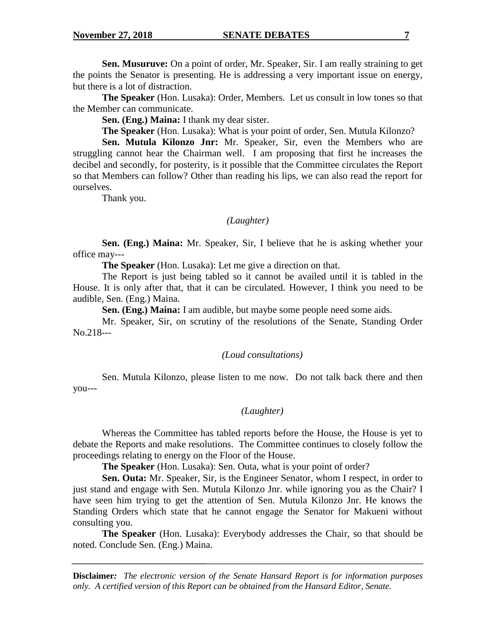**Sen. Musuruve:** On a point of order, Mr. Speaker, Sir. I am really straining to get the points the Senator is presenting. He is addressing a very important issue on energy, but there is a lot of distraction.

**The Speaker** (Hon. Lusaka): Order, Members. Let us consult in low tones so that the Member can communicate.

**Sen. (Eng.) Maina:** I thank my dear sister.

**The Speaker** (Hon. Lusaka): What is your point of order, Sen. Mutula Kilonzo?

**Sen. Mutula Kilonzo Jnr:** Mr. Speaker, Sir, even the Members who are struggling cannot hear the Chairman well. I am proposing that first he increases the decibel and secondly, for posterity, is it possible that the Committee circulates the Report so that Members can follow? Other than reading his lips, we can also read the report for ourselves.

Thank you.

#### *(Laughter)*

**Sen. (Eng.) Maina:** Mr. Speaker, Sir, I believe that he is asking whether your office may---

**The Speaker** (Hon. Lusaka): Let me give a direction on that.

The Report is just being tabled so it cannot be availed until it is tabled in the House. It is only after that, that it can be circulated. However, I think you need to be audible, Sen. (Eng.) Maina.

**Sen. (Eng.) Maina:** I am audible, but maybe some people need some aids.

Mr. Speaker, Sir, on scrutiny of the resolutions of the Senate, Standing Order No.218---

#### *(Loud consultations)*

Sen. Mutula Kilonzo, please listen to me now. Do not talk back there and then you---

# *(Laughter)*

Whereas the Committee has tabled reports before the House, the House is yet to debate the Reports and make resolutions. The Committee continues to closely follow the proceedings relating to energy on the Floor of the House.

**The Speaker** (Hon. Lusaka): Sen. Outa, what is your point of order?

**Sen. Outa:** Mr. Speaker, Sir, is the Engineer Senator, whom I respect, in order to just stand and engage with Sen. Mutula Kilonzo Jnr. while ignoring you as the Chair? I have seen him trying to get the attention of Sen. Mutula Kilonzo Jnr. He knows the Standing Orders which state that he cannot engage the Senator for Makueni without consulting you.

**The Speaker** (Hon. Lusaka): Everybody addresses the Chair, so that should be noted. Conclude Sen. (Eng.) Maina.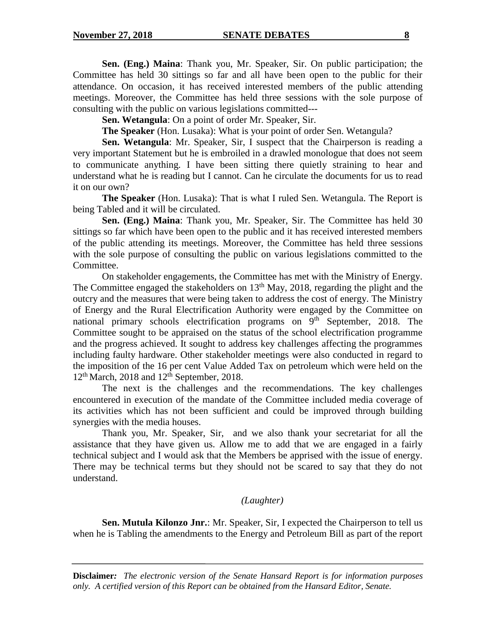**Sen. (Eng.) Maina**: Thank you, Mr. Speaker, Sir. On public participation; the Committee has held 30 sittings so far and all have been open to the public for their attendance. On occasion, it has received interested members of the public attending meetings. Moreover, the Committee has held three sessions with the sole purpose of consulting with the public on various legislations committed---

**Sen. Wetangula**: On a point of order Mr. Speaker, Sir.

**The Speaker** (Hon. Lusaka): What is your point of order Sen. Wetangula?

**Sen. Wetangula**: Mr. Speaker, Sir, I suspect that the Chairperson is reading a very important Statement but he is embroiled in a drawled monologue that does not seem to communicate anything. I have been sitting there quietly straining to hear and understand what he is reading but I cannot. Can he circulate the documents for us to read it on our own?

**The Speaker** (Hon. Lusaka): That is what I ruled Sen. Wetangula. The Report is being Tabled and it will be circulated.

**Sen. (Eng.) Maina**: Thank you, Mr. Speaker, Sir. The Committee has held 30 sittings so far which have been open to the public and it has received interested members of the public attending its meetings. Moreover, the Committee has held three sessions with the sole purpose of consulting the public on various legislations committed to the Committee.

On stakeholder engagements, the Committee has met with the Ministry of Energy. The Committee engaged the stakeholders on  $13<sup>th</sup>$  May, 2018, regarding the plight and the outcry and the measures that were being taken to address the cost of energy. The Ministry of Energy and the Rural Electrification Authority were engaged by the Committee on national primary schools electrification programs on  $\overline{9}^{th}$  September, 2018. The Committee sought to be appraised on the status of the school electrification programme and the progress achieved. It sought to address key challenges affecting the programmes including faulty hardware. Other stakeholder meetings were also conducted in regard to the imposition of the 16 per cent Value Added Tax on petroleum which were held on the  $12<sup>th</sup>$  March, 2018 and  $12<sup>th</sup>$  September, 2018.

The next is the challenges and the recommendations. The key challenges encountered in execution of the mandate of the Committee included media coverage of its activities which has not been sufficient and could be improved through building synergies with the media houses.

Thank you, Mr. Speaker, Sir, and we also thank your secretariat for all the assistance that they have given us. Allow me to add that we are engaged in a fairly technical subject and I would ask that the Members be apprised with the issue of energy. There may be technical terms but they should not be scared to say that they do not understand.

## *(Laughter)*

**Sen. Mutula Kilonzo Jnr.**: Mr. Speaker, Sir, I expected the Chairperson to tell us when he is Tabling the amendments to the Energy and Petroleum Bill as part of the report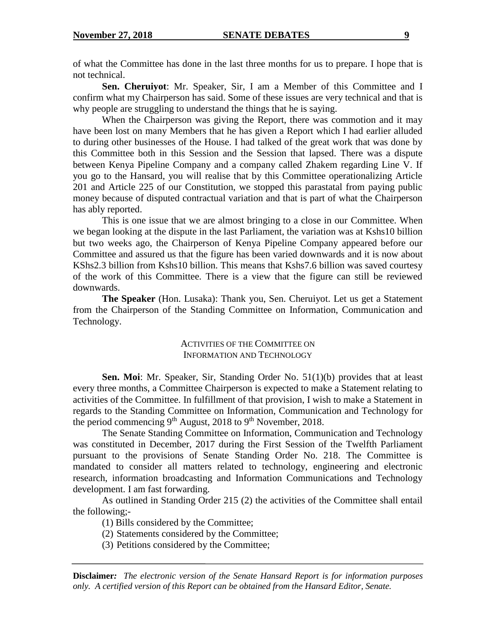of what the Committee has done in the last three months for us to prepare. I hope that is not technical.

**Sen. Cheruiyot**: Mr. Speaker, Sir, I am a Member of this Committee and I confirm what my Chairperson has said. Some of these issues are very technical and that is why people are struggling to understand the things that he is saying.

When the Chairperson was giving the Report, there was commotion and it may have been lost on many Members that he has given a Report which I had earlier alluded to during other businesses of the House. I had talked of the great work that was done by this Committee both in this Session and the Session that lapsed. There was a dispute between Kenya Pipeline Company and a company called Zhakem regarding Line V. If you go to the Hansard, you will realise that by this Committee operationalizing Article 201 and Article 225 of our Constitution, we stopped this parastatal from paying public money because of disputed contractual variation and that is part of what the Chairperson has ably reported.

This is one issue that we are almost bringing to a close in our Committee. When we began looking at the dispute in the last Parliament, the variation was at Kshs10 billion but two weeks ago, the Chairperson of Kenya Pipeline Company appeared before our Committee and assured us that the figure has been varied downwards and it is now about KShs2.3 billion from Kshs10 billion. This means that Kshs7.6 billion was saved courtesy of the work of this Committee. There is a view that the figure can still be reviewed downwards.

**The Speaker** (Hon. Lusaka): Thank you, Sen. Cheruiyot. Let us get a Statement from the Chairperson of the Standing Committee on Information, Communication and Technology.

# ACTIVITIES OF THE COMMITTEE ON INFORMATION AND TECHNOLOGY

**Sen. Moi**: Mr. Speaker, Sir, Standing Order No. 51(1)(b) provides that at least every three months, a Committee Chairperson is expected to make a Statement relating to activities of the Committee. In fulfillment of that provision, I wish to make a Statement in regards to the Standing Committee on Information, Communication and Technology for the period commencing  $9<sup>th</sup>$  August, 2018 to  $9<sup>th</sup>$  November, 2018.

The Senate Standing Committee on Information, Communication and Technology was constituted in December, 2017 during the First Session of the Twelfth Parliament pursuant to the provisions of Senate Standing Order No. 218. The Committee is mandated to consider all matters related to technology, engineering and electronic research, information broadcasting and Information Communications and Technology development. I am fast forwarding.

As outlined in Standing Order 215 (2) the activities of the Committee shall entail the following;-

(1) Bills considered by the Committee;

(2) Statements considered by the Committee;

(3) Petitions considered by the Committee;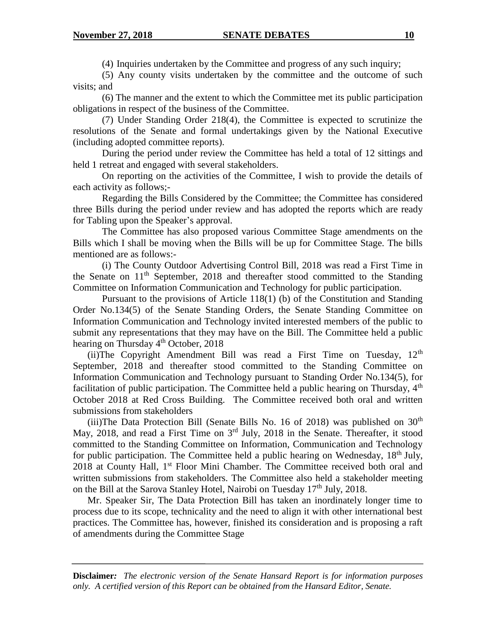(4) Inquiries undertaken by the Committee and progress of any such inquiry;

(5) Any county visits undertaken by the committee and the outcome of such visits; and

(6) The manner and the extent to which the Committee met its public participation obligations in respect of the business of the Committee.

(7) Under Standing Order 218(4), the Committee is expected to scrutinize the resolutions of the Senate and formal undertakings given by the National Executive (including adopted committee reports).

During the period under review the Committee has held a total of 12 sittings and held 1 retreat and engaged with several stakeholders.

On reporting on the activities of the Committee, I wish to provide the details of each activity as follows;-

Regarding the Bills Considered by the Committee; the Committee has considered three Bills during the period under review and has adopted the reports which are ready for Tabling upon the Speaker's approval.

The Committee has also proposed various Committee Stage amendments on the Bills which I shall be moving when the Bills will be up for Committee Stage. The bills mentioned are as follows:-

(i) The County Outdoor Advertising Control Bill, 2018 was read a First Time in the Senate on  $11<sup>th</sup>$  September, 2018 and thereafter stood committed to the Standing Committee on Information Communication and Technology for public participation.

Pursuant to the provisions of Article 118(1) (b) of the Constitution and Standing Order No.134(5) of the Senate Standing Orders, the Senate Standing Committee on Information Communication and Technology invited interested members of the public to submit any representations that they may have on the Bill. The Committee held a public hearing on Thursday  $4<sup>th</sup>$  October, 2018

(ii)The Copyright Amendment Bill was read a First Time on Tuesday,  $12<sup>th</sup>$ September, 2018 and thereafter stood committed to the Standing Committee on Information Communication and Technology pursuant to Standing Order No.134(5), for facilitation of public participation. The Committee held a public hearing on Thursday,  $4<sup>th</sup>$ October 2018 at Red Cross Building. The Committee received both oral and written submissions from stakeholders

(iii)The Data Protection Bill (Senate Bills No. 16 of 2018) was published on  $30<sup>th</sup>$ May, 2018, and read a First Time on 3rd July, 2018 in the Senate. Thereafter, it stood committed to the Standing Committee on Information, Communication and Technology for public participation. The Committee held a public hearing on Wednesday,  $18<sup>th</sup>$  July, 2018 at County Hall, 1<sup>st</sup> Floor Mini Chamber. The Committee received both oral and written submissions from stakeholders. The Committee also held a stakeholder meeting on the Bill at the Sarova Stanley Hotel, Nairobi on Tuesday  $17<sup>th</sup>$  July, 2018.

Mr. Speaker Sir, The Data Protection Bill has taken an inordinately longer time to process due to its scope, technicality and the need to align it with other international best practices. The Committee has, however, finished its consideration and is proposing a raft of amendments during the Committee Stage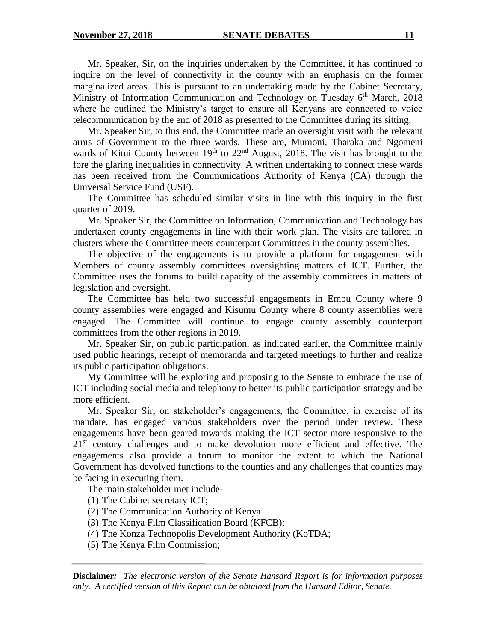Mr. Speaker, Sir, on the inquiries undertaken by the Committee, it has continued to inquire on the level of connectivity in the county with an emphasis on the former marginalized areas. This is pursuant to an undertaking made by the Cabinet Secretary, Ministry of Information Communication and Technology on Tuesday  $6<sup>th</sup>$  March, 2018 where he outlined the Ministry's target to ensure all Kenyans are connected to voice telecommunication by the end of 2018 as presented to the Committee during its sitting.

Mr. Speaker Sir, to this end, the Committee made an oversight visit with the relevant arms of Government to the three wards. These are, Mumoni, Tharaka and Ngomeni wards of Kitui County between 19<sup>th</sup> to 22<sup>nd</sup> August, 2018. The visit has brought to the fore the glaring inequalities in connectivity. A written undertaking to connect these wards has been received from the Communications Authority of Kenya (CA) through the Universal Service Fund (USF).

The Committee has scheduled similar visits in line with this inquiry in the first quarter of 2019.

Mr. Speaker Sir, the Committee on Information, Communication and Technology has undertaken county engagements in line with their work plan. The visits are tailored in clusters where the Committee meets counterpart Committees in the county assemblies.

The objective of the engagements is to provide a platform for engagement with Members of county assembly committees oversighting matters of ICT. Further, the Committee uses the forums to build capacity of the assembly committees in matters of legislation and oversight.

The Committee has held two successful engagements in Embu County where 9 county assemblies were engaged and Kisumu County where 8 county assemblies were engaged. The Committee will continue to engage county assembly counterpart committees from the other regions in 2019.

Mr. Speaker Sir, on public participation, as indicated earlier, the Committee mainly used public hearings, receipt of memoranda and targeted meetings to further and realize its public participation obligations.

My Committee will be exploring and proposing to the Senate to embrace the use of ICT including social media and telephony to better its public participation strategy and be more efficient.

Mr. Speaker Sir, on stakeholder's engagements, the Committee, in exercise of its mandate, has engaged various stakeholders over the period under review. These engagements have been geared towards making the ICT sector more responsive to the 21<sup>st</sup> century challenges and to make devolution more efficient and effective. The engagements also provide a forum to monitor the extent to which the National Government has devolved functions to the counties and any challenges that counties may be facing in executing them.

The main stakeholder met include-

- (1) The Cabinet secretary ICT;
- (2) The Communication Authority of Kenya
- (3) The Kenya Film Classification Board (KFCB);
- (4) The Konza Technopolis Development Authority (KoTDA;
- (5) The Kenya Film Commission;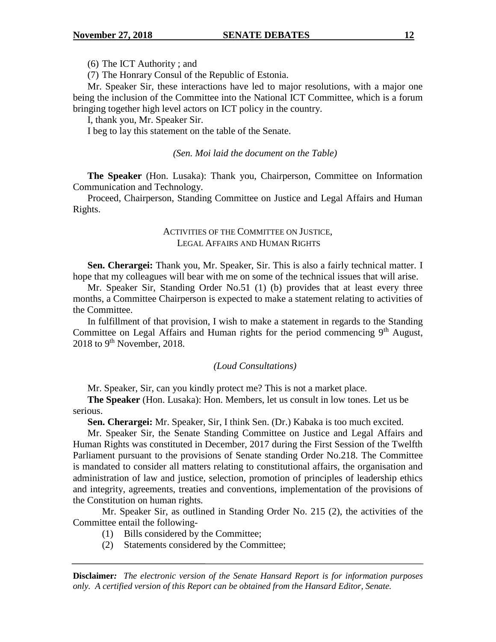(6) The ICT Authority ; and

(7) The Honrary Consul of the Republic of Estonia.

Mr. Speaker Sir, these interactions have led to major resolutions, with a major one being the inclusion of the Committee into the National ICT Committee, which is a forum bringing together high level actors on ICT policy in the country.

I, thank you, Mr. Speaker Sir.

I beg to lay this statement on the table of the Senate.

*(Sen. Moi laid the document on the Table)*

**The Speaker** (Hon. Lusaka): Thank you, Chairperson, Committee on Information Communication and Technology.

Proceed, Chairperson, Standing Committee on Justice and Legal Affairs and Human Rights.

# ACTIVITIES OF THE COMMITTEE ON JUSTICE, LEGAL AFFAIRS AND HUMAN RIGHTS

**Sen. Cherargei:** Thank you, Mr. Speaker, Sir. This is also a fairly technical matter. I hope that my colleagues will bear with me on some of the technical issues that will arise.

Mr. Speaker Sir, Standing Order No.51 (1) (b) provides that at least every three months, a Committee Chairperson is expected to make a statement relating to activities of the Committee.

In fulfillment of that provision, I wish to make a statement in regards to the Standing Committee on Legal Affairs and Human rights for the period commencing 9<sup>th</sup> August, 2018 to 9<sup>th</sup> November, 2018.

#### *(Loud Consultations)*

Mr. Speaker, Sir, can you kindly protect me? This is not a market place.

**The Speaker** (Hon. Lusaka): Hon. Members, let us consult in low tones. Let us be serious.

**Sen. Cherargei:** Mr. Speaker, Sir, I think Sen. (Dr.) Kabaka is too much excited.

Mr. Speaker Sir, the Senate Standing Committee on Justice and Legal Affairs and Human Rights was constituted in December, 2017 during the First Session of the Twelfth Parliament pursuant to the provisions of Senate standing Order No.218. The Committee is mandated to consider all matters relating to constitutional affairs, the organisation and administration of law and justice, selection, promotion of principles of leadership ethics and integrity, agreements, treaties and conventions, implementation of the provisions of the Constitution on human rights*.*

Mr. Speaker Sir, as outlined in Standing Order No. 215 (2), the activities of the Committee entail the following-

- (1) Bills considered by the Committee;
- (2) Statements considered by the Committee;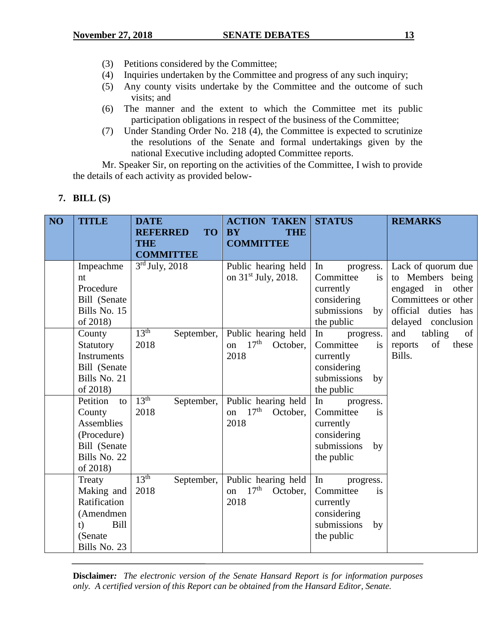- (3) Petitions considered by the Committee;
- (4) Inquiries undertaken by the Committee and progress of any such inquiry;
- (5) Any county visits undertake by the Committee and the outcome of such visits; and
- (6) The manner and the extent to which the Committee met its public participation obligations in respect of the business of the Committee;
- (7) Under Standing Order No. 218 (4), the Committee is expected to scrutinize the resolutions of the Senate and formal undertakings given by the national Executive including adopted Committee reports.

Mr. Speaker Sir, on reporting on the activities of the Committee, I wish to provide the details of each activity as provided below-

|  | <b>BILL</b> (S) |  |
|--|-----------------|--|
|--|-----------------|--|

| NO <sub>1</sub> | <b>TITLE</b>      | <b>DATE</b><br><b>TO</b><br><b>REFERRED</b> | <b>ACTION TAKEN</b><br><b>BY</b><br><b>THE</b> | <b>STATUS</b>     | <b>REMARKS</b>         |
|-----------------|-------------------|---------------------------------------------|------------------------------------------------|-------------------|------------------------|
|                 |                   | <b>THE</b>                                  | <b>COMMITTEE</b>                               |                   |                        |
|                 |                   | <b>COMMITTEE</b>                            |                                                |                   |                        |
|                 | Impeachme         | $3rd$ July, 2018                            | Public hearing held                            | In<br>progress.   | Lack of quorum due     |
|                 | nt                |                                             | on $31st$ July, 2018.                          | Committee<br>is   | to Members being       |
|                 | Procedure         |                                             |                                                | currently         | engaged<br>in<br>other |
|                 | Bill (Senate      |                                             |                                                | considering       | Committees or other    |
|                 | Bills No. 15      |                                             |                                                | submissions<br>by | official duties has    |
|                 | of 2018)          |                                             |                                                | the public        | delayed conclusion     |
|                 | County            | 13 <sup>th</sup><br>September,              | Public hearing held                            | In<br>progress.   | and<br>tabling<br>of   |
|                 | Statutory         | 2018                                        | 17 <sup>th</sup><br>October.<br>on             | Committee<br>is   | of<br>these<br>reports |
|                 | Instruments       |                                             | 2018                                           | currently         | Bills.                 |
|                 | Bill (Senate      |                                             |                                                | considering       |                        |
|                 | Bills No. 21      |                                             |                                                | submissions<br>by |                        |
|                 | of 2018)          |                                             |                                                | the public        |                        |
|                 | Petition<br>to    | 13 <sup>th</sup><br>September,              | Public hearing held                            | In<br>progress.   |                        |
|                 | County            | 2018                                        | on $17th$<br>October,                          | Committee<br>is   |                        |
|                 | Assemblies        |                                             | 2018                                           | currently         |                        |
|                 | (Procedure)       |                                             |                                                | considering       |                        |
|                 | Bill (Senate      |                                             |                                                | submissions<br>by |                        |
|                 | Bills No. 22      |                                             |                                                | the public        |                        |
|                 | of 2018)          |                                             |                                                |                   |                        |
|                 | Treaty            | 13 <sup>th</sup><br>September,              | Public hearing held                            | In<br>progress.   |                        |
|                 | Making and        | 2018                                        | 17 <sup>th</sup><br>October,<br>on             | Committee<br>is   |                        |
|                 | Ratification      |                                             | 2018                                           | currently         |                        |
|                 | (Amendmen         |                                             |                                                | considering       |                        |
|                 | <b>Bill</b><br>t) |                                             |                                                | submissions<br>by |                        |
|                 | (Senate)          |                                             |                                                | the public        |                        |
|                 | Bills No. 23      |                                             |                                                |                   |                        |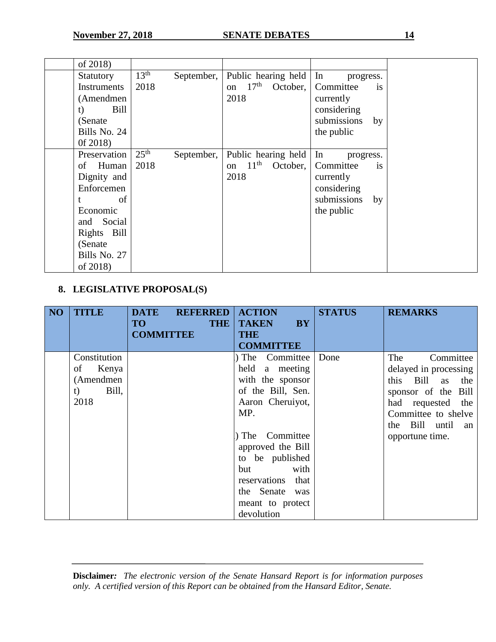| of 2018)           |                  |            |                          |          |                    |           |
|--------------------|------------------|------------|--------------------------|----------|--------------------|-----------|
| Statutory          | 13 <sup>th</sup> | September, | Public hearing held   In |          | progress.          |           |
| <b>Instruments</b> | 2018             |            | on $17th$                | October, | Committee          | <i>is</i> |
| (Amendmen          |                  |            | 2018                     |          | currently          |           |
| Bill<br>t)         |                  |            |                          |          | considering        |           |
| (Senate)           |                  |            |                          |          | submissions        | by        |
| Bills No. 24       |                  |            |                          |          | the public         |           |
| 0f 2018)           |                  |            |                          |          |                    |           |
| Preservation       | 25 <sup>th</sup> | September, | Public hearing held      |          | $\ln$<br>progress. |           |
| of Human           | 2018             |            | on $11th$                | October, | Committee          | <i>is</i> |
| Dignity and        |                  |            | 2018                     |          | currently          |           |
| Enforcemen         |                  |            |                          |          | considering        |           |
| of                 |                  |            |                          |          | submissions        | by        |
| Economic           |                  |            |                          |          | the public         |           |
| and Social         |                  |            |                          |          |                    |           |
| Rights Bill        |                  |            |                          |          |                    |           |
| (Senate)           |                  |            |                          |          |                    |           |
| Bills No. 27       |                  |            |                          |          |                    |           |
| of 2018)           |                  |            |                          |          |                    |           |

# **8. LEGISLATIVE PROPOSAL(S)**

| NO | <b>TITLE</b>                                                    | <b>DATE</b><br><b>REFERRED</b><br><b>THE</b><br><b>TO</b><br><b>COMMITTEE</b> | <b>ACTION</b><br><b>TAKEN</b><br><b>BY</b><br><b>THE</b><br><b>COMMITTEE</b>                                                                                                                                                                                         | <b>STATUS</b> | <b>REMARKS</b>                                                                                                                                                                       |
|----|-----------------------------------------------------------------|-------------------------------------------------------------------------------|----------------------------------------------------------------------------------------------------------------------------------------------------------------------------------------------------------------------------------------------------------------------|---------------|--------------------------------------------------------------------------------------------------------------------------------------------------------------------------------------|
|    | Constitution<br>Kenya<br>of<br>(Amendmen<br>Bill,<br>t)<br>2018 |                                                                               | Committee<br>The<br>held a meeting<br>with the sponsor<br>of the Bill, Sen.<br>Aaron Cheruiyot,<br>MP.<br>The Committee<br>approved the Bill<br>to be published<br>with<br><b>but</b><br>reservations<br>that<br>the Senate<br>was<br>meant to protect<br>devolution | Done          | The<br>Committee<br>delayed in processing<br>Bill as<br>this<br>the<br>sponsor of the Bill<br>had requested<br>the<br>Committee to shelve<br>the Bill until<br>an<br>opportune time. |

| <b>Disclaimer:</b> The electronic version of the Senate Hansard Report is for information purposes |  |  |  |  |
|----------------------------------------------------------------------------------------------------|--|--|--|--|
| only. A certified version of this Report can be obtained from the Hansard Editor, Senate.          |  |  |  |  |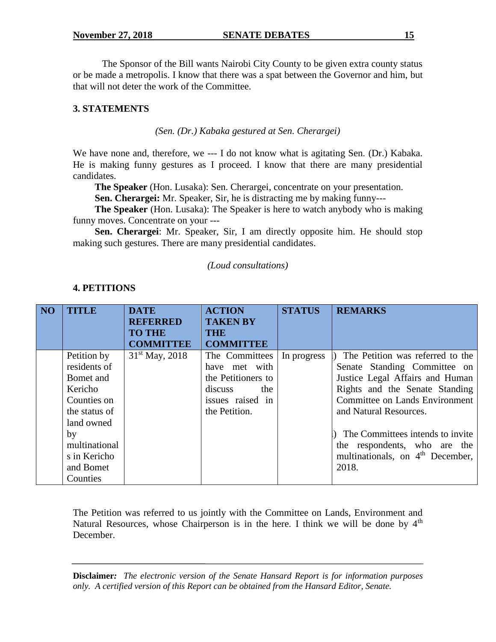The Sponsor of the Bill wants Nairobi City County to be given extra county status or be made a metropolis. I know that there was a spat between the Governor and him, but that will not deter the work of the Committee.

# **3. STATEMENTS**

*(Sen. (Dr.) Kabaka gestured at Sen. Cherargei)*

We have none and, therefore, we --- I do not know what is agitating Sen. (Dr.) Kabaka. He is making funny gestures as I proceed. I know that there are many presidential candidates.

**The Speaker** (Hon. Lusaka): Sen. Cherargei, concentrate on your presentation.

**Sen. Cherargei:** Mr. Speaker, Sir, he is distracting me by making funny---

**The Speaker** (Hon. Lusaka): The Speaker is here to watch anybody who is making funny moves. Concentrate on your ---

**Sen. Cherargei**: Mr. Speaker, Sir, I am directly opposite him. He should stop making such gestures. There are many presidential candidates.

# *(Loud consultations)*

| NO <sub>1</sub> | <b>TITLE</b>  | <b>DATE</b><br><b>REFERRED</b> | <b>ACTION</b><br><b>TAKEN BY</b> | <b>STATUS</b> | <b>REMARKS</b>                               |
|-----------------|---------------|--------------------------------|----------------------------------|---------------|----------------------------------------------|
|                 |               | <b>TO THE</b>                  | <b>THE</b>                       |               |                                              |
|                 |               | <b>COMMITTEE</b>               | <b>COMMITTEE</b>                 |               |                                              |
|                 | Petition by   | $31st$ May, 2018               | The Committees                   | In progress   | The Petition was referred to the             |
|                 | residents of  |                                | have met with                    |               | Senate Standing Committee on                 |
|                 | Bomet and     |                                | the Petitioners to               |               | Justice Legal Affairs and Human              |
|                 | Kericho       |                                | discuss<br>the                   |               | Rights and the Senate Standing               |
|                 | Counties on   |                                | issues raised in                 |               | <b>Committee on Lands Environment</b>        |
|                 | the status of |                                | the Petition.                    |               | and Natural Resources.                       |
|                 | land owned    |                                |                                  |               |                                              |
|                 | by            |                                |                                  |               | The Committees intends to invite             |
|                 | multinational |                                |                                  |               | the respondents, who are the                 |
|                 | s in Kericho  |                                |                                  |               | multinationals, on 4 <sup>th</sup> December, |
|                 | and Bomet     |                                |                                  |               | 2018.                                        |
|                 | Counties      |                                |                                  |               |                                              |

# **4. PETITIONS**

The Petition was referred to us jointly with the Committee on Lands, Environment and Natural Resources, whose Chairperson is in the here. I think we will be done by  $4<sup>th</sup>$ December.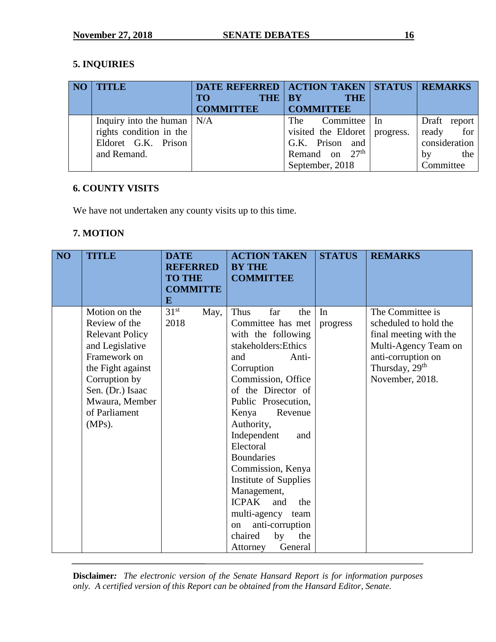# **5. INQUIRIES**

|  | <b>NO   TITLE</b>                          | DATE REFERRED   ACTION TAKEN   STATUS   REMARKS |                                 |                 |
|--|--------------------------------------------|-------------------------------------------------|---------------------------------|-----------------|
|  |                                            | <b>THE</b><br>TO                                | <b>BY</b><br><b>THE</b>         |                 |
|  |                                            | <b>COMMITTEE</b>                                | COMMITTEE                       |                 |
|  | Inquiry into the human $\vert N/A \rangle$ |                                                 | The Committee In                | Draft<br>report |
|  | rights condition in the                    |                                                 | visited the Eldoret   progress. | for<br>ready    |
|  | Eldoret G.K. Prison                        |                                                 | G.K. Prison and                 | consideration   |
|  | and Remand.                                |                                                 | Remand on $27th$                | the<br>bv       |
|  |                                            |                                                 | September, 2018                 | Committee       |

# **6. COUNTY VISITS**

We have not undertaken any county visits up to this time.

# **7. MOTION**

| NO | <b>TITLE</b>                                                                                                                                                                                          | <b>DATE</b><br><b>REFERRED</b><br><b>TO THE</b><br><b>COMMITTE</b><br>E |      | <b>ACTION TAKEN</b><br><b>BY THE</b><br><b>COMMITTEE</b>                                                                                                                                                                                                                                                                                                                                                                                                                            | <b>STATUS</b>  | <b>REMARKS</b>                                                                                                                                                     |
|----|-------------------------------------------------------------------------------------------------------------------------------------------------------------------------------------------------------|-------------------------------------------------------------------------|------|-------------------------------------------------------------------------------------------------------------------------------------------------------------------------------------------------------------------------------------------------------------------------------------------------------------------------------------------------------------------------------------------------------------------------------------------------------------------------------------|----------------|--------------------------------------------------------------------------------------------------------------------------------------------------------------------|
|    | Motion on the<br>Review of the<br><b>Relevant Policy</b><br>and Legislative<br>Framework on<br>the Fight against<br>Corruption by<br>Sen. (Dr.) Isaac<br>Mwaura, Member<br>of Parliament<br>$(MPs)$ . | 31 <sup>st</sup><br>2018                                                | May, | Thus<br>far<br>the<br>Committee has met<br>with the following<br>stakeholders: Ethics<br>and<br>Anti-<br>Corruption<br>Commission, Office<br>of the Director of<br>Public Prosecution,<br>Revenue<br>Kenya<br>Authority,<br>Independent<br>and<br>Electoral<br><b>Boundaries</b><br>Commission, Kenya<br>Institute of Supplies<br>Management,<br><b>ICPAK</b><br>and<br>the<br>multi-agency team<br>anti-corruption<br><sub>on</sub><br>chaired<br>the<br>by<br>General<br>Attorney | In<br>progress | The Committee is<br>scheduled to hold the<br>final meeting with the<br>Multi-Agency Team on<br>anti-corruption on<br>Thursday, 29 <sup>th</sup><br>November, 2018. |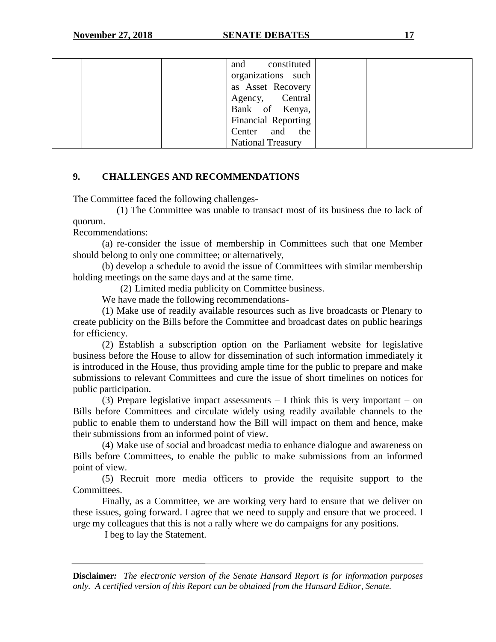| constituted<br>and       |  |
|--------------------------|--|
| organizations such       |  |
| as Asset Recovery        |  |
| Agency, Central          |  |
| Bank of Kenya,           |  |
| Financial Reporting      |  |
| Center and the           |  |
| <b>National Treasury</b> |  |

# **9. CHALLENGES AND RECOMMENDATIONS**

The Committee faced the following challenges-

(1) The Committee was unable to transact most of its business due to lack of quorum.

Recommendations:

(a) re-consider the issue of membership in Committees such that one Member should belong to only one committee; or alternatively,

(b) develop a schedule to avoid the issue of Committees with similar membership holding meetings on the same days and at the same time.

(2) Limited media publicity on Committee business.

We have made the following recommendations-

(1) Make use of readily available resources such as live broadcasts or Plenary to create publicity on the Bills before the Committee and broadcast dates on public hearings for efficiency.

(2) Establish a subscription option on the Parliament website for legislative business before the House to allow for dissemination of such information immediately it is introduced in the House, thus providing ample time for the public to prepare and make submissions to relevant Committees and cure the issue of short timelines on notices for public participation.

(3) Prepare legislative impact assessments  $-$  I think this is very important  $-$  on Bills before Committees and circulate widely using readily available channels to the public to enable them to understand how the Bill will impact on them and hence, make their submissions from an informed point of view.

(4) Make use of social and broadcast media to enhance dialogue and awareness on Bills before Committees, to enable the public to make submissions from an informed point of view.

(5) Recruit more media officers to provide the requisite support to the Committees.

Finally, as a Committee, we are working very hard to ensure that we deliver on these issues, going forward. I agree that we need to supply and ensure that we proceed. I urge my colleagues that this is not a rally where we do campaigns for any positions.

I beg to lay the Statement.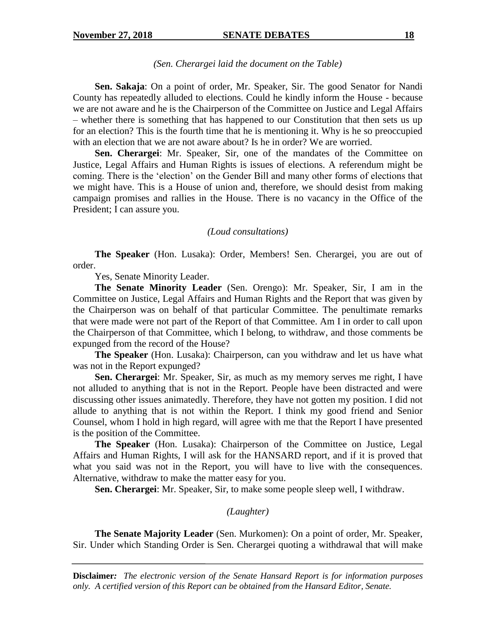#### *(Sen. Cherargei laid the document on the Table)*

**Sen. Sakaja**: On a point of order, Mr. Speaker, Sir. The good Senator for Nandi County has repeatedly alluded to elections. Could he kindly inform the House - because we are not aware and he is the Chairperson of the Committee on Justice and Legal Affairs – whether there is something that has happened to our Constitution that then sets us up for an election? This is the fourth time that he is mentioning it. Why is he so preoccupied with an election that we are not aware about? Is he in order? We are worried.

**Sen. Cherargei**: Mr. Speaker, Sir, one of the mandates of the Committee on Justice, Legal Affairs and Human Rights is issues of elections. A referendum might be coming. There is the 'election' on the Gender Bill and many other forms of elections that we might have. This is a House of union and, therefore, we should desist from making campaign promises and rallies in the House. There is no vacancy in the Office of the President; I can assure you.

#### *(Loud consultations)*

**The Speaker** (Hon. Lusaka): Order, Members! Sen. Cherargei, you are out of order.

Yes, Senate Minority Leader.

**The Senate Minority Leader** (Sen. Orengo): Mr. Speaker, Sir, I am in the Committee on Justice, Legal Affairs and Human Rights and the Report that was given by the Chairperson was on behalf of that particular Committee. The penultimate remarks that were made were not part of the Report of that Committee. Am I in order to call upon the Chairperson of that Committee, which I belong, to withdraw, and those comments be expunged from the record of the House?

**The Speaker** (Hon. Lusaka): Chairperson, can you withdraw and let us have what was not in the Report expunged?

**Sen. Cherargei**: Mr. Speaker, Sir, as much as my memory serves me right, I have not alluded to anything that is not in the Report. People have been distracted and were discussing other issues animatedly. Therefore, they have not gotten my position. I did not allude to anything that is not within the Report. I think my good friend and Senior Counsel, whom I hold in high regard, will agree with me that the Report I have presented is the position of the Committee.

**The Speaker** (Hon. Lusaka): Chairperson of the Committee on Justice, Legal Affairs and Human Rights, I will ask for the HANSARD report, and if it is proved that what you said was not in the Report, you will have to live with the consequences. Alternative, withdraw to make the matter easy for you.

**Sen. Cherargei**: Mr. Speaker, Sir, to make some people sleep well, I withdraw.

#### *(Laughter)*

**The Senate Majority Leader** (Sen. Murkomen): On a point of order, Mr. Speaker, Sir. Under which Standing Order is Sen. Cherargei quoting a withdrawal that will make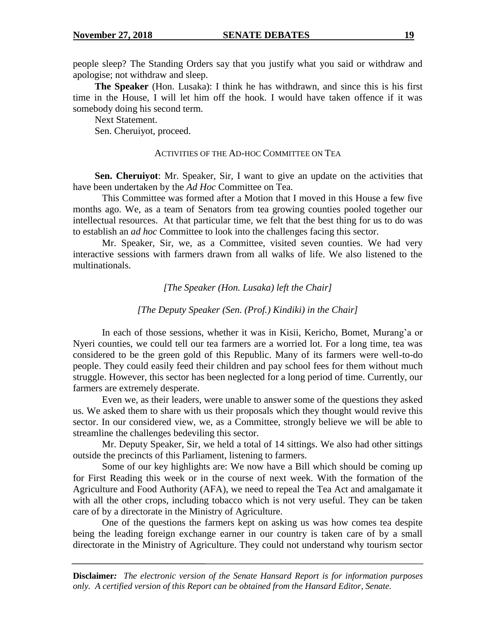people sleep? The Standing Orders say that you justify what you said or withdraw and apologise; not withdraw and sleep.

**The Speaker** (Hon. Lusaka): I think he has withdrawn, and since this is his first time in the House, I will let him off the hook. I would have taken offence if it was somebody doing his second term.

Next Statement.

Sen. Cheruiyot, proceed.

#### ACTIVITIES OF THE AD-HOC COMMITTEE ON TEA

**Sen. Cheruiyot**: Mr. Speaker, Sir, I want to give an update on the activities that have been undertaken by the *Ad Hoc* Committee on Tea.

This Committee was formed after a Motion that I moved in this House a few five months ago. We, as a team of Senators from tea growing counties pooled together our intellectual resources. At that particular time, we felt that the best thing for us to do was to establish an *ad hoc* Committee to look into the challenges facing this sector.

Mr. Speaker, Sir, we, as a Committee, visited seven counties. We had very interactive sessions with farmers drawn from all walks of life. We also listened to the multinationals.

*[The Speaker (Hon. Lusaka) left the Chair]*

#### *[The Deputy Speaker (Sen. (Prof.) Kindiki) in the Chair]*

In each of those sessions, whether it was in Kisii, Kericho, Bomet, Murang'a or Nyeri counties, we could tell our tea farmers are a worried lot. For a long time, tea was considered to be the green gold of this Republic. Many of its farmers were well-to-do people. They could easily feed their children and pay school fees for them without much struggle. However, this sector has been neglected for a long period of time. Currently, our farmers are extremely desperate.

Even we, as their leaders, were unable to answer some of the questions they asked us. We asked them to share with us their proposals which they thought would revive this sector. In our considered view, we, as a Committee, strongly believe we will be able to streamline the challenges bedeviling this sector.

Mr. Deputy Speaker, Sir, we held a total of 14 sittings. We also had other sittings outside the precincts of this Parliament, listening to farmers.

Some of our key highlights are: We now have a Bill which should be coming up for First Reading this week or in the course of next week. With the formation of the Agriculture and Food Authority (AFA), we need to repeal the Tea Act and amalgamate it with all the other crops, including tobacco which is not very useful. They can be taken care of by a directorate in the Ministry of Agriculture.

One of the questions the farmers kept on asking us was how comes tea despite being the leading foreign exchange earner in our country is taken care of by a small directorate in the Ministry of Agriculture. They could not understand why tourism sector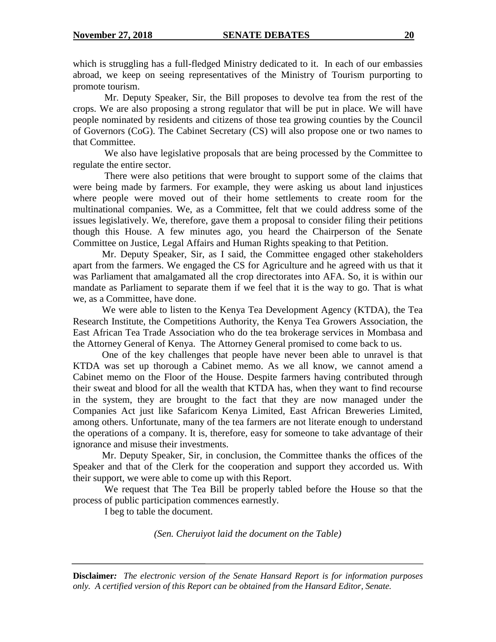which is struggling has a full-fledged Ministry dedicated to it. In each of our embassies abroad, we keep on seeing representatives of the Ministry of Tourism purporting to promote tourism.

Mr. Deputy Speaker, Sir, the Bill proposes to devolve tea from the rest of the crops. We are also proposing a strong regulator that will be put in place. We will have people nominated by residents and citizens of those tea growing counties by the Council of Governors (CoG). The Cabinet Secretary (CS) will also propose one or two names to that Committee.

We also have legislative proposals that are being processed by the Committee to regulate the entire sector.

There were also petitions that were brought to support some of the claims that were being made by farmers. For example, they were asking us about land injustices where people were moved out of their home settlements to create room for the multinational companies. We, as a Committee, felt that we could address some of the issues legislatively. We, therefore, gave them a proposal to consider filing their petitions though this House. A few minutes ago, you heard the Chairperson of the Senate Committee on Justice, Legal Affairs and Human Rights speaking to that Petition.

Mr. Deputy Speaker, Sir, as I said, the Committee engaged other stakeholders apart from the farmers. We engaged the CS for Agriculture and he agreed with us that it was Parliament that amalgamated all the crop directorates into AFA. So, it is within our mandate as Parliament to separate them if we feel that it is the way to go. That is what we, as a Committee, have done.

We were able to listen to the Kenya Tea Development Agency (KTDA), the Tea Research Institute, the Competitions Authority, the Kenya Tea Growers Association, the East African Tea Trade Association who do the tea brokerage services in Mombasa and the Attorney General of Kenya. The Attorney General promised to come back to us.

One of the key challenges that people have never been able to unravel is that KTDA was set up thorough a Cabinet memo. As we all know, we cannot amend a Cabinet memo on the Floor of the House. Despite farmers having contributed through their sweat and blood for all the wealth that KTDA has, when they want to find recourse in the system, they are brought to the fact that they are now managed under the Companies Act just like Safaricom Kenya Limited, East African Breweries Limited, among others. Unfortunate, many of the tea farmers are not literate enough to understand the operations of a company. It is, therefore, easy for someone to take advantage of their ignorance and misuse their investments.

Mr. Deputy Speaker, Sir, in conclusion, the Committee thanks the offices of the Speaker and that of the Clerk for the cooperation and support they accorded us. With their support, we were able to come up with this Report.

We request that The Tea Bill be properly tabled before the House so that the process of public participation commences earnestly.

I beg to table the document.

*(Sen. Cheruiyot laid the document on the Table)*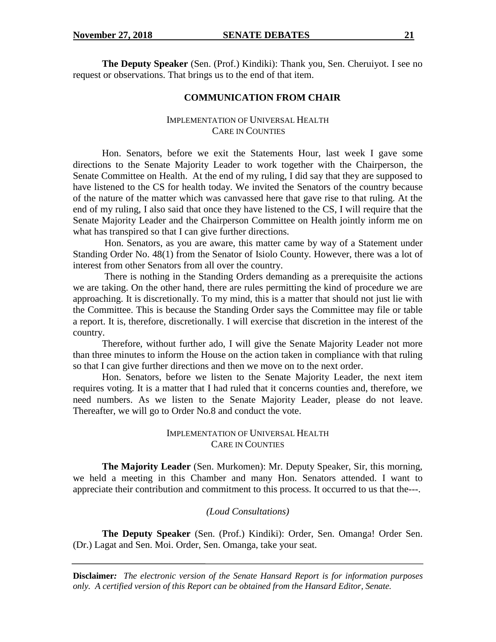**The Deputy Speaker** (Sen. (Prof.) Kindiki): Thank you, Sen. Cheruiyot. I see no request or observations. That brings us to the end of that item.

## **COMMUNICATION FROM CHAIR**

# IMPLEMENTATION OF UNIVERSAL HEALTH CARE IN COUNTIES

Hon. Senators, before we exit the Statements Hour, last week I gave some directions to the Senate Majority Leader to work together with the Chairperson, the Senate Committee on Health. At the end of my ruling, I did say that they are supposed to have listened to the CS for health today. We invited the Senators of the country because of the nature of the matter which was canvassed here that gave rise to that ruling. At the end of my ruling, I also said that once they have listened to the CS, I will require that the Senate Majority Leader and the Chairperson Committee on Health jointly inform me on what has transpired so that I can give further directions.

Hon. Senators, as you are aware, this matter came by way of a Statement under Standing Order No. 48(1) from the Senator of Isiolo County. However, there was a lot of interest from other Senators from all over the country.

There is nothing in the Standing Orders demanding as a prerequisite the actions we are taking. On the other hand, there are rules permitting the kind of procedure we are approaching. It is discretionally. To my mind, this is a matter that should not just lie with the Committee. This is because the Standing Order says the Committee may file or table a report. It is, therefore, discretionally. I will exercise that discretion in the interest of the country.

Therefore, without further ado, I will give the Senate Majority Leader not more than three minutes to inform the House on the action taken in compliance with that ruling so that I can give further directions and then we move on to the next order.

Hon. Senators, before we listen to the Senate Majority Leader, the next item requires voting. It is a matter that I had ruled that it concerns counties and, therefore, we need numbers. As we listen to the Senate Majority Leader, please do not leave. Thereafter, we will go to Order No.8 and conduct the vote.

# IMPLEMENTATION OF UNIVERSAL HEALTH CARE IN COUNTIES

**The Majority Leader** (Sen. Murkomen): Mr. Deputy Speaker, Sir, this morning, we held a meeting in this Chamber and many Hon. Senators attended. I want to appreciate their contribution and commitment to this process. It occurred to us that the---.

# *(Loud Consultations)*

**The Deputy Speaker** (Sen. (Prof.) Kindiki): Order, Sen. Omanga! Order Sen. (Dr.) Lagat and Sen. Moi. Order, Sen. Omanga, take your seat.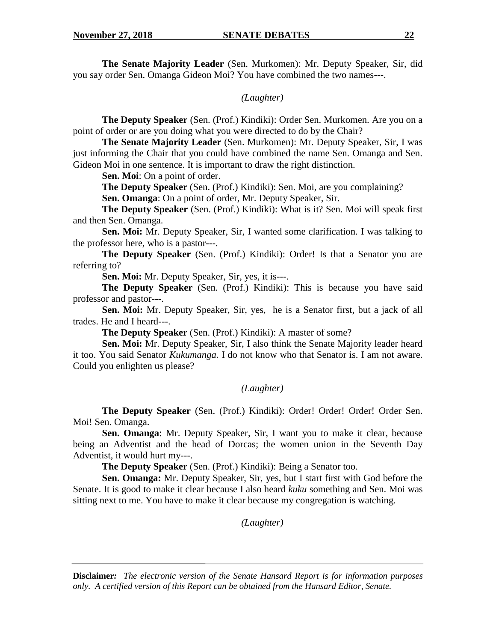**The Senate Majority Leader** (Sen. Murkomen): Mr. Deputy Speaker, Sir, did you say order Sen. Omanga Gideon Moi? You have combined the two names---.

*(Laughter)*

**The Deputy Speaker** (Sen. (Prof.) Kindiki): Order Sen. Murkomen. Are you on a point of order or are you doing what you were directed to do by the Chair?

**The Senate Majority Leader** (Sen. Murkomen): Mr. Deputy Speaker, Sir, I was just informing the Chair that you could have combined the name Sen. Omanga and Sen. Gideon Moi in one sentence. It is important to draw the right distinction.

**Sen. Moi**: On a point of order.

**The Deputy Speaker** (Sen. (Prof.) Kindiki): Sen. Moi, are you complaining?

**Sen. Omanga**: On a point of order, Mr. Deputy Speaker, Sir.

**The Deputy Speaker** (Sen. (Prof.) Kindiki): What is it? Sen. Moi will speak first and then Sen. Omanga.

**Sen. Moi:** Mr. Deputy Speaker, Sir, I wanted some clarification. I was talking to the professor here, who is a pastor---.

**The Deputy Speaker** (Sen. (Prof.) Kindiki): Order! Is that a Senator you are referring to?

**Sen. Moi:** Mr. Deputy Speaker, Sir, yes, it is---.

**The Deputy Speaker** (Sen. (Prof.) Kindiki): This is because you have said professor and pastor---.

**Sen. Moi:** Mr. Deputy Speaker, Sir, yes, he is a Senator first, but a jack of all trades. He and I heard---.

**The Deputy Speaker** (Sen. (Prof.) Kindiki): A master of some?

**Sen. Moi:** Mr. Deputy Speaker, Sir, I also think the Senate Majority leader heard it too. You said Senator *Kukumanga.* I do not know who that Senator is. I am not aware. Could you enlighten us please?

# *(Laughter)*

**The Deputy Speaker** (Sen. (Prof.) Kindiki): Order! Order! Order! Order Sen. Moi! Sen. Omanga.

**Sen. Omanga**: Mr. Deputy Speaker, Sir, I want you to make it clear, because being an Adventist and the head of Dorcas; the women union in the Seventh Day Adventist, it would hurt my---.

**The Deputy Speaker** (Sen. (Prof.) Kindiki): Being a Senator too.

**Sen. Omanga:** Mr. Deputy Speaker, Sir, yes, but I start first with God before the Senate. It is good to make it clear because I also heard *kuku* something and Sen. Moi was sitting next to me. You have to make it clear because my congregation is watching.

*(Laughter)*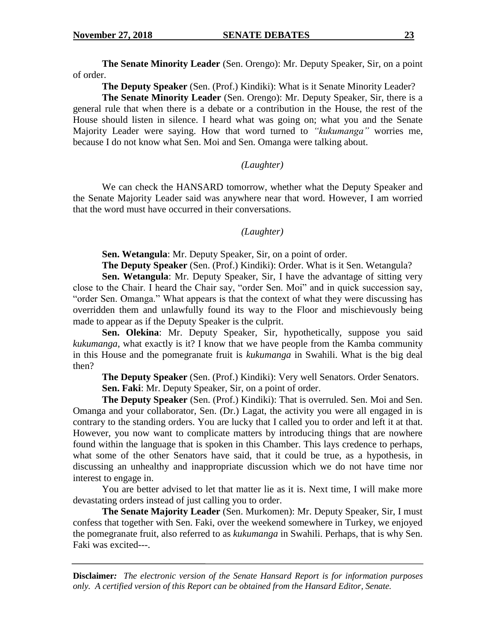**The Senate Minority Leader** (Sen. Orengo): Mr. Deputy Speaker, Sir, on a point of order.

**The Deputy Speaker** (Sen. (Prof.) Kindiki): What is it Senate Minority Leader?

**The Senate Minority Leader** (Sen. Orengo): Mr. Deputy Speaker, Sir, there is a general rule that when there is a debate or a contribution in the House, the rest of the House should listen in silence. I heard what was going on; what you and the Senate Majority Leader were saying. How that word turned to *"kukumanga"* worries me, because I do not know what Sen. Moi and Sen. Omanga were talking about.

### *(Laughter)*

We can check the HANSARD tomorrow, whether what the Deputy Speaker and the Senate Majority Leader said was anywhere near that word. However, I am worried that the word must have occurred in their conversations.

### *(Laughter)*

**Sen. Wetangula**: Mr. Deputy Speaker, Sir, on a point of order.

**The Deputy Speaker** (Sen. (Prof.) Kindiki): Order. What is it Sen. Wetangula?

**Sen. Wetangula**: Mr. Deputy Speaker, Sir, I have the advantage of sitting very close to the Chair. I heard the Chair say, "order Sen. Moi" and in quick succession say, "order Sen. Omanga." What appears is that the context of what they were discussing has overridden them and unlawfully found its way to the Floor and mischievously being made to appear as if the Deputy Speaker is the culprit.

**Sen. Olekina**: Mr. Deputy Speaker, Sir, hypothetically, suppose you said *kukumanga*, what exactly is it? I know that we have people from the Kamba community in this House and the pomegranate fruit is *kukumanga* in Swahili. What is the big deal then?

**The Deputy Speaker** (Sen. (Prof.) Kindiki): Very well Senators. Order Senators. **Sen. Faki**: Mr. Deputy Speaker, Sir, on a point of order.

**The Deputy Speaker** (Sen. (Prof.) Kindiki): That is overruled. Sen. Moi and Sen. Omanga and your collaborator, Sen. (Dr.) Lagat, the activity you were all engaged in is contrary to the standing orders. You are lucky that I called you to order and left it at that. However, you now want to complicate matters by introducing things that are nowhere found within the language that is spoken in this Chamber. This lays credence to perhaps, what some of the other Senators have said, that it could be true, as a hypothesis, in discussing an unhealthy and inappropriate discussion which we do not have time nor interest to engage in.

You are better advised to let that matter lie as it is. Next time, I will make more devastating orders instead of just calling you to order.

**The Senate Majority Leader** (Sen. Murkomen): Mr. Deputy Speaker, Sir, I must confess that together with Sen. Faki, over the weekend somewhere in Turkey, we enjoyed the pomegranate fruit, also referred to as *kukumanga* in Swahili. Perhaps, that is why Sen. Faki was excited---.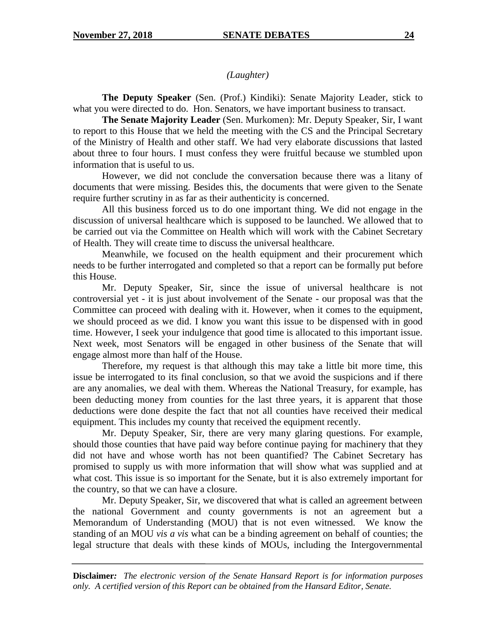## *(Laughter)*

**The Deputy Speaker** (Sen. (Prof.) Kindiki): Senate Majority Leader, stick to what you were directed to do. Hon. Senators, we have important business to transact.

**The Senate Majority Leader** (Sen. Murkomen): Mr. Deputy Speaker, Sir, I want to report to this House that we held the meeting with the CS and the Principal Secretary of the Ministry of Health and other staff. We had very elaborate discussions that lasted about three to four hours. I must confess they were fruitful because we stumbled upon information that is useful to us.

However, we did not conclude the conversation because there was a litany of documents that were missing. Besides this, the documents that were given to the Senate require further scrutiny in as far as their authenticity is concerned.

All this business forced us to do one important thing. We did not engage in the discussion of universal healthcare which is supposed to be launched. We allowed that to be carried out via the Committee on Health which will work with the Cabinet Secretary of Health. They will create time to discuss the universal healthcare.

Meanwhile, we focused on the health equipment and their procurement which needs to be further interrogated and completed so that a report can be formally put before this House.

Mr. Deputy Speaker, Sir, since the issue of universal healthcare is not controversial yet - it is just about involvement of the Senate - our proposal was that the Committee can proceed with dealing with it. However, when it comes to the equipment, we should proceed as we did. I know you want this issue to be dispensed with in good time. However, I seek your indulgence that good time is allocated to this important issue. Next week, most Senators will be engaged in other business of the Senate that will engage almost more than half of the House.

Therefore, my request is that although this may take a little bit more time, this issue be interrogated to its final conclusion, so that we avoid the suspicions and if there are any anomalies, we deal with them. Whereas the National Treasury, for example, has been deducting money from counties for the last three years, it is apparent that those deductions were done despite the fact that not all counties have received their medical equipment. This includes my county that received the equipment recently.

Mr. Deputy Speaker, Sir, there are very many glaring questions. For example, should those counties that have paid way before continue paying for machinery that they did not have and whose worth has not been quantified? The Cabinet Secretary has promised to supply us with more information that will show what was supplied and at what cost. This issue is so important for the Senate, but it is also extremely important for the country, so that we can have a closure.

Mr. Deputy Speaker, Sir, we discovered that what is called an agreement between the national Government and county governments is not an agreement but a Memorandum of Understanding (MOU) that is not even witnessed. We know the standing of an MOU *vis a vis* what can be a binding agreement on behalf of counties; the legal structure that deals with these kinds of MOUs, including the Intergovernmental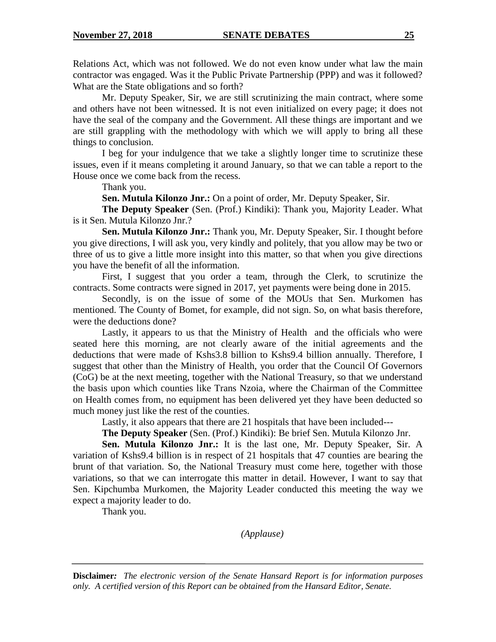Relations Act, which was not followed. We do not even know under what law the main contractor was engaged. Was it the Public Private Partnership (PPP) and was it followed? What are the State obligations and so forth?

Mr. Deputy Speaker, Sir, we are still scrutinizing the main contract, where some and others have not been witnessed. It is not even initialized on every page; it does not have the seal of the company and the Government. All these things are important and we are still grappling with the methodology with which we will apply to bring all these things to conclusion.

I beg for your indulgence that we take a slightly longer time to scrutinize these issues, even if it means completing it around January, so that we can table a report to the House once we come back from the recess.

Thank you.

**Sen. Mutula Kilonzo Jnr.:** On a point of order, Mr. Deputy Speaker, Sir.

**The Deputy Speaker** (Sen. (Prof.) Kindiki): Thank you, Majority Leader. What is it Sen. Mutula Kilonzo Jnr.?

**Sen. Mutula Kilonzo Jnr.:** Thank you, Mr. Deputy Speaker, Sir. I thought before you give directions, I will ask you, very kindly and politely, that you allow may be two or three of us to give a little more insight into this matter, so that when you give directions you have the benefit of all the information.

First, I suggest that you order a team, through the Clerk, to scrutinize the contracts. Some contracts were signed in 2017, yet payments were being done in 2015.

Secondly, is on the issue of some of the MOUs that Sen. Murkomen has mentioned. The County of Bomet, for example, did not sign. So, on what basis therefore, were the deductions done?

Lastly, it appears to us that the Ministry of Health and the officials who were seated here this morning, are not clearly aware of the initial agreements and the deductions that were made of Kshs3.8 billion to Kshs9.4 billion annually. Therefore, I suggest that other than the Ministry of Health, you order that the Council Of Governors (CoG) be at the next meeting, together with the National Treasury, so that we understand the basis upon which counties like Trans Nzoia, where the Chairman of the Committee on Health comes from, no equipment has been delivered yet they have been deducted so much money just like the rest of the counties.

Lastly, it also appears that there are 21 hospitals that have been included---

**The Deputy Speaker** (Sen. (Prof.) Kindiki): Be brief Sen. Mutula Kilonzo Jnr.

**Sen. Mutula Kilonzo Jnr.:** It is the last one, Mr. Deputy Speaker, Sir. A variation of Kshs9.4 billion is in respect of 21 hospitals that 47 counties are bearing the brunt of that variation. So, the National Treasury must come here, together with those variations, so that we can interrogate this matter in detail. However, I want to say that Sen. Kipchumba Murkomen, the Majority Leader conducted this meeting the way we expect a majority leader to do.

Thank you.

*(Applause)*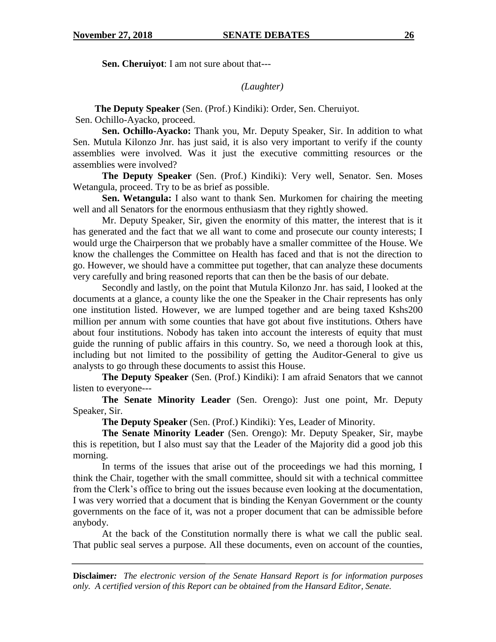**Sen. Cheruiyot**: I am not sure about that---

*(Laughter)*

 **The Deputy Speaker** (Sen. (Prof.) Kindiki): Order, Sen. Cheruiyot. Sen. Ochillo-Ayacko, proceed.

**Sen. Ochillo-Ayacko:** Thank you, Mr. Deputy Speaker, Sir. In addition to what Sen. Mutula Kilonzo Jnr. has just said, it is also very important to verify if the county assemblies were involved. Was it just the executive committing resources or the assemblies were involved?

**The Deputy Speaker** (Sen. (Prof.) Kindiki): Very well, Senator. Sen. Moses Wetangula, proceed. Try to be as brief as possible.

**Sen. Wetangula:** I also want to thank Sen. Murkomen for chairing the meeting well and all Senators for the enormous enthusiasm that they rightly showed.

Mr. Deputy Speaker, Sir, given the enormity of this matter, the interest that is it has generated and the fact that we all want to come and prosecute our county interests; I would urge the Chairperson that we probably have a smaller committee of the House. We know the challenges the Committee on Health has faced and that is not the direction to go. However, we should have a committee put together, that can analyze these documents very carefully and bring reasoned reports that can then be the basis of our debate.

Secondly and lastly, on the point that Mutula Kilonzo Jnr. has said, I looked at the documents at a glance, a county like the one the Speaker in the Chair represents has only one institution listed. However, we are lumped together and are being taxed Kshs200 million per annum with some counties that have got about five institutions. Others have about four institutions. Nobody has taken into account the interests of equity that must guide the running of public affairs in this country. So, we need a thorough look at this, including but not limited to the possibility of getting the Auditor-General to give us analysts to go through these documents to assist this House.

**The Deputy Speaker** (Sen. (Prof.) Kindiki): I am afraid Senators that we cannot listen to everyone---

**The Senate Minority Leader** (Sen. Orengo): Just one point, Mr. Deputy Speaker, Sir.

**The Deputy Speaker** (Sen. (Prof.) Kindiki): Yes, Leader of Minority.

**The Senate Minority Leader** (Sen. Orengo): Mr. Deputy Speaker, Sir, maybe this is repetition, but I also must say that the Leader of the Majority did a good job this morning.

In terms of the issues that arise out of the proceedings we had this morning, I think the Chair, together with the small committee, should sit with a technical committee from the Clerk's office to bring out the issues because even looking at the documentation, I was very worried that a document that is binding the Kenyan Government or the county governments on the face of it, was not a proper document that can be admissible before anybody.

At the back of the Constitution normally there is what we call the public seal. That public seal serves a purpose. All these documents, even on account of the counties,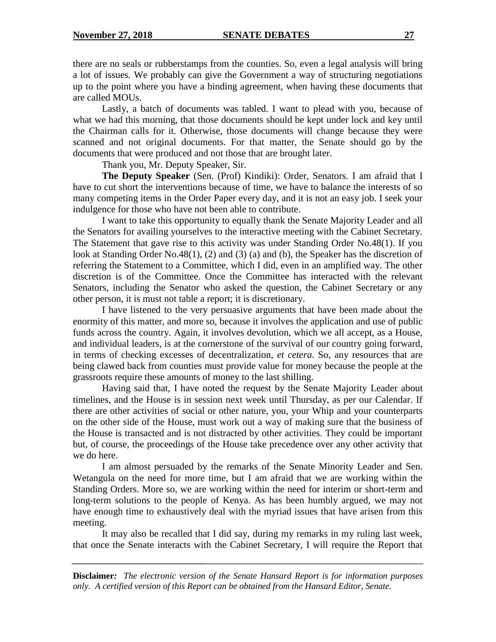there are no seals or rubberstamps from the counties. So, even a legal analysis will bring a lot of issues. We probably can give the Government a way of structuring negotiations up to the point where you have a binding agreement, when having these documents that are called MOUs.

Lastly, a batch of documents was tabled. I want to plead with you, because of what we had this morning, that those documents should be kept under lock and key until the Chairman calls for it. Otherwise, those documents will change because they were scanned and not original documents. For that matter, the Senate should go by the documents that were produced and not those that are brought later.

Thank you, Mr. Deputy Speaker, Sir.

**The Deputy Speaker** (Sen. (Prof) Kindiki): Order, Senators. I am afraid that I have to cut short the interventions because of time, we have to balance the interests of so many competing items in the Order Paper every day, and it is not an easy job. I seek your indulgence for those who have not been able to contribute.

I want to take this opportunity to equally thank the Senate Majority Leader and all the Senators for availing yourselves to the interactive meeting with the Cabinet Secretary. The Statement that gave rise to this activity was under Standing Order No.48(1). If you look at Standing Order No.48(1), (2) and (3) (a) and (b), the Speaker has the discretion of referring the Statement to a Committee, which I did, even in an amplified way. The other discretion is of the Committee. Once the Committee has interacted with the relevant Senators, including the Senator who asked the question, the Cabinet Secretary or any other person, it is must not table a report; it is discretionary.

I have listened to the very persuasive arguments that have been made about the enormity of this matter, and more so, because it involves the application and use of public funds across the country. Again, it involves devolution, which we all accept, as a House, and individual leaders, is at the cornerstone of the survival of our country going forward, in terms of checking excesses of decentralization, *et cetera*. So, any resources that are being clawed back from counties must provide value for money because the people at the grassroots require these amounts of money to the last shilling.

Having said that, I have noted the request by the Senate Majority Leader about timelines, and the House is in session next week until Thursday, as per our Calendar. If there are other activities of social or other nature, you, your Whip and your counterparts on the other side of the House, must work out a way of making sure that the business of the House is transacted and is not distracted by other activities. They could be important but, of course, the proceedings of the House take precedence over any other activity that we do here.

I am almost persuaded by the remarks of the Senate Minority Leader and Sen. Wetangula on the need for more time, but I am afraid that we are working within the Standing Orders. More so, we are working within the need for interim or short-term and long-term solutions to the people of Kenya. As has been humbly argued, we may not have enough time to exhaustively deal with the myriad issues that have arisen from this meeting.

It may also be recalled that I did say, during my remarks in my ruling last week, that once the Senate interacts with the Cabinet Secretary, I will require the Report that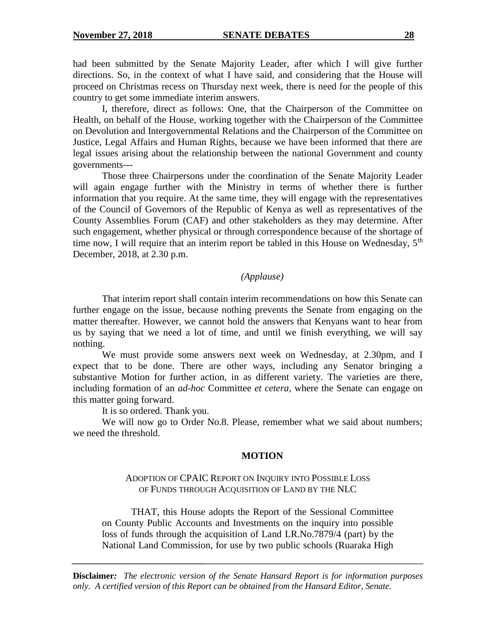had been submitted by the Senate Majority Leader, after which I will give further directions. So, in the context of what I have said, and considering that the House will proceed on Christmas recess on Thursday next week, there is need for the people of this country to get some immediate interim answers.

I, therefore, direct as follows: One, that the Chairperson of the Committee on Health, on behalf of the House, working together with the Chairperson of the Committee on Devolution and Intergovernmental Relations and the Chairperson of the Committee on Justice, Legal Affairs and Human Rights, because we have been informed that there are legal issues arising about the relationship between the national Government and county governments---

Those three Chairpersons under the coordination of the Senate Majority Leader will again engage further with the Ministry in terms of whether there is further information that you require. At the same time, they will engage with the representatives of the Council of Governors of the Republic of Kenya as well as representatives of the County Assemblies Forum (CAF) and other stakeholders as they may determine. After such engagement, whether physical or through correspondence because of the shortage of time now, I will require that an interim report be tabled in this House on Wednesday,  $5<sup>th</sup>$ December, 2018, at 2.30 p.m.

# *(Applause)*

That interim report shall contain interim recommendations on how this Senate can further engage on the issue, because nothing prevents the Senate from engaging on the matter thereafter. However, we cannot hold the answers that Kenyans want to hear from us by saying that we need a lot of time, and until we finish everything, we will say nothing.

We must provide some answers next week on Wednesday, at 2.30pm, and I expect that to be done. There are other ways, including any Senator bringing a substantive Motion for further action, in as different variety. The varieties are there, including formation of an *ad-hoc* Committee *et cetera*, where the Senate can engage on this matter going forward.

It is so ordered. Thank you.

We will now go to Order No.8. Please, remember what we said about numbers; we need the threshold.

#### **MOTION**

# ADOPTION OF CPAIC REPORT ON INQUIRY INTO POSSIBLE LOSS OF FUNDS THROUGH ACQUISITION OF LAND BY THE NLC

THAT, this House adopts the Report of the Sessional Committee on County Public Accounts and Investments on the inquiry into possible loss of funds through the acquisition of Land LR.No.7879/4 (part) by the National Land Commission, for use by two public schools (Ruaraka High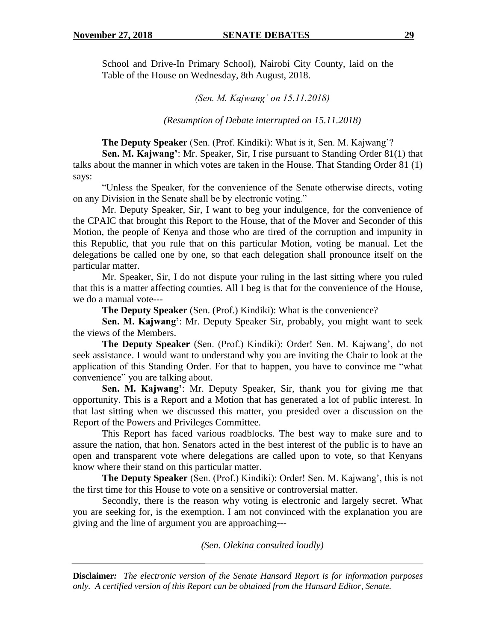School and Drive-In Primary School), Nairobi City County, laid on the Table of the House on Wednesday, 8th August, 2018.

*(Sen. M. Kajwang' on 15.11.2018)*

*(Resumption of Debate interrupted on 15.11.2018)*

**The Deputy Speaker** (Sen. (Prof. Kindiki): What is it, Sen. M. Kajwang'?

**Sen. M. Kajwang'**: Mr. Speaker, Sir, I rise pursuant to Standing Order 81(1) that talks about the manner in which votes are taken in the House. That Standing Order 81 (1) says:

"Unless the Speaker, for the convenience of the Senate otherwise directs, voting on any Division in the Senate shall be by electronic voting."

Mr. Deputy Speaker, Sir, I want to beg your indulgence, for the convenience of the CPAIC that brought this Report to the House, that of the Mover and Seconder of this Motion, the people of Kenya and those who are tired of the corruption and impunity in this Republic, that you rule that on this particular Motion, voting be manual. Let the delegations be called one by one, so that each delegation shall pronounce itself on the particular matter.

Mr. Speaker, Sir, I do not dispute your ruling in the last sitting where you ruled that this is a matter affecting counties. All I beg is that for the convenience of the House, we do a manual vote---

**The Deputy Speaker** (Sen. (Prof.) Kindiki): What is the convenience?

**Sen. M. Kajwang'**: Mr. Deputy Speaker Sir, probably, you might want to seek the views of the Members.

**The Deputy Speaker** (Sen. (Prof.) Kindiki): Order! Sen. M. Kajwang', do not seek assistance. I would want to understand why you are inviting the Chair to look at the application of this Standing Order. For that to happen, you have to convince me "what convenience" you are talking about.

**Sen. M. Kajwang'**: Mr. Deputy Speaker, Sir, thank you for giving me that opportunity. This is a Report and a Motion that has generated a lot of public interest. In that last sitting when we discussed this matter, you presided over a discussion on the Report of the Powers and Privileges Committee.

This Report has faced various roadblocks. The best way to make sure and to assure the nation, that hon. Senators acted in the best interest of the public is to have an open and transparent vote where delegations are called upon to vote, so that Kenyans know where their stand on this particular matter.

**The Deputy Speaker** (Sen. (Prof.) Kindiki): Order! Sen. M. Kajwang', this is not the first time for this House to vote on a sensitive or controversial matter.

Secondly, there is the reason why voting is electronic and largely secret. What you are seeking for, is the exemption. I am not convinced with the explanation you are giving and the line of argument you are approaching---

*(Sen. Olekina consulted loudly)*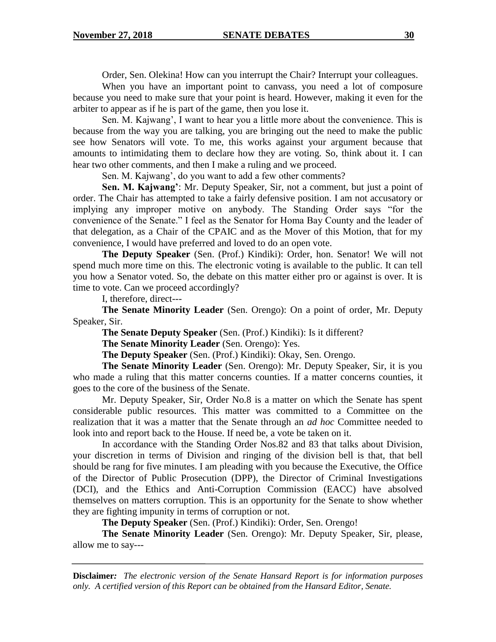Order, Sen. Olekina! How can you interrupt the Chair? Interrupt your colleagues.

When you have an important point to canvass, you need a lot of composure because you need to make sure that your point is heard. However, making it even for the arbiter to appear as if he is part of the game, then you lose it.

Sen. M. Kajwang', I want to hear you a little more about the convenience. This is because from the way you are talking, you are bringing out the need to make the public see how Senators will vote. To me, this works against your argument because that amounts to intimidating them to declare how they are voting. So, think about it. I can hear two other comments, and then I make a ruling and we proceed.

Sen. M. Kajwang', do you want to add a few other comments?

**Sen. M. Kajwang'**: Mr. Deputy Speaker, Sir, not a comment, but just a point of order. The Chair has attempted to take a fairly defensive position. I am not accusatory or implying any improper motive on anybody. The Standing Order says "for the convenience of the Senate." I feel as the Senator for Homa Bay County and the leader of that delegation, as a Chair of the CPAIC and as the Mover of this Motion, that for my convenience, I would have preferred and loved to do an open vote.

**The Deputy Speaker** (Sen. (Prof.) Kindiki): Order, hon. Senator! We will not spend much more time on this. The electronic voting is available to the public. It can tell you how a Senator voted. So, the debate on this matter either pro or against is over. It is time to vote. Can we proceed accordingly?

I, therefore, direct---

**The Senate Minority Leader** (Sen. Orengo): On a point of order, Mr. Deputy Speaker, Sir.

**The Senate Deputy Speaker** (Sen. (Prof.) Kindiki): Is it different?

**The Senate Minority Leader** (Sen. Orengo): Yes.

**The Deputy Speaker** (Sen. (Prof.) Kindiki): Okay, Sen. Orengo.

**The Senate Minority Leader** (Sen. Orengo): Mr. Deputy Speaker, Sir, it is you who made a ruling that this matter concerns counties. If a matter concerns counties, it goes to the core of the business of the Senate.

Mr. Deputy Speaker, Sir, Order No.8 is a matter on which the Senate has spent considerable public resources. This matter was committed to a Committee on the realization that it was a matter that the Senate through an *ad hoc* Committee needed to look into and report back to the House. If need be, a vote be taken on it.

In accordance with the Standing Order Nos.82 and 83 that talks about Division, your discretion in terms of Division and ringing of the division bell is that, that bell should be rang for five minutes. I am pleading with you because the Executive, the Office of the Director of Public Prosecution (DPP), the Director of Criminal Investigations (DCI), and the Ethics and Anti-Corruption Commission (EACC) have absolved themselves on matters corruption. This is an opportunity for the Senate to show whether they are fighting impunity in terms of corruption or not.

**The Deputy Speaker** (Sen. (Prof.) Kindiki): Order, Sen. Orengo!

**The Senate Minority Leader** (Sen. Orengo): Mr. Deputy Speaker, Sir, please, allow me to say---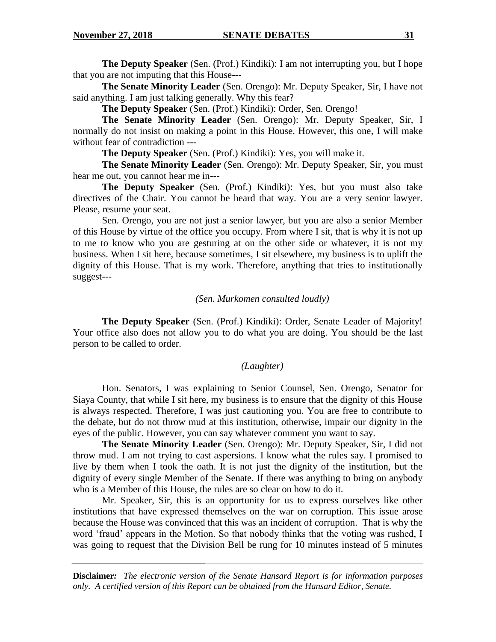**The Deputy Speaker** (Sen. (Prof.) Kindiki): I am not interrupting you, but I hope that you are not imputing that this House---

**The Senate Minority Leader** (Sen. Orengo): Mr. Deputy Speaker, Sir, I have not said anything. I am just talking generally. Why this fear?

**The Deputy Speaker** (Sen. (Prof.) Kindiki): Order, Sen. Orengo!

**The Senate Minority Leader** (Sen. Orengo): Mr. Deputy Speaker, Sir, I normally do not insist on making a point in this House. However, this one, I will make without fear of contradiction ---

**The Deputy Speaker** (Sen. (Prof.) Kindiki): Yes, you will make it.

**The Senate Minority Leader** (Sen. Orengo): Mr. Deputy Speaker, Sir, you must hear me out, you cannot hear me in---

**The Deputy Speaker** (Sen. (Prof.) Kindiki): Yes, but you must also take directives of the Chair. You cannot be heard that way. You are a very senior lawyer. Please, resume your seat.

Sen. Orengo, you are not just a senior lawyer, but you are also a senior Member of this House by virtue of the office you occupy. From where I sit, that is why it is not up to me to know who you are gesturing at on the other side or whatever, it is not my business. When I sit here, because sometimes, I sit elsewhere, my business is to uplift the dignity of this House. That is my work. Therefore, anything that tries to institutionally suggest---

### *(Sen. Murkomen consulted loudly)*

**The Deputy Speaker** (Sen. (Prof.) Kindiki): Order, Senate Leader of Majority! Your office also does not allow you to do what you are doing. You should be the last person to be called to order.

### *(Laughter)*

Hon. Senators, I was explaining to Senior Counsel, Sen. Orengo, Senator for Siaya County, that while I sit here, my business is to ensure that the dignity of this House is always respected. Therefore, I was just cautioning you. You are free to contribute to the debate, but do not throw mud at this institution, otherwise, impair our dignity in the eyes of the public. However, you can say whatever comment you want to say.

**The Senate Minority Leader** (Sen. Orengo): Mr. Deputy Speaker, Sir, I did not throw mud. I am not trying to cast aspersions. I know what the rules say. I promised to live by them when I took the oath. It is not just the dignity of the institution, but the dignity of every single Member of the Senate. If there was anything to bring on anybody who is a Member of this House, the rules are so clear on how to do it.

Mr. Speaker, Sir, this is an opportunity for us to express ourselves like other institutions that have expressed themselves on the war on corruption. This issue arose because the House was convinced that this was an incident of corruption. That is why the word 'fraud' appears in the Motion. So that nobody thinks that the voting was rushed, I was going to request that the Division Bell be rung for 10 minutes instead of 5 minutes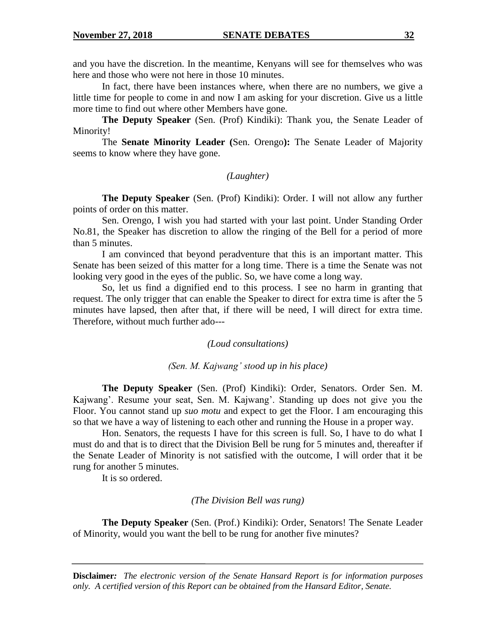and you have the discretion. In the meantime, Kenyans will see for themselves who was here and those who were not here in those 10 minutes.

In fact, there have been instances where, when there are no numbers, we give a little time for people to come in and now I am asking for your discretion. Give us a little more time to find out where other Members have gone.

**The Deputy Speaker** (Sen. (Prof) Kindiki): Thank you, the Senate Leader of Minority!

The **Senate Minority Leader (**Sen. Orengo**):** The Senate Leader of Majority seems to know where they have gone.

#### *(Laughter)*

**The Deputy Speaker** (Sen. (Prof) Kindiki): Order. I will not allow any further points of order on this matter.

Sen. Orengo, I wish you had started with your last point. Under Standing Order No.81, the Speaker has discretion to allow the ringing of the Bell for a period of more than 5 minutes.

I am convinced that beyond peradventure that this is an important matter. This Senate has been seized of this matter for a long time. There is a time the Senate was not looking very good in the eyes of the public. So, we have come a long way.

So, let us find a dignified end to this process. I see no harm in granting that request. The only trigger that can enable the Speaker to direct for extra time is after the 5 minutes have lapsed, then after that, if there will be need, I will direct for extra time. Therefore, without much further ado---

#### *(Loud consultations)*

#### *(Sen. M. Kajwang' stood up in his place)*

**The Deputy Speaker** (Sen. (Prof) Kindiki): Order, Senators. Order Sen. M. Kajwang'. Resume your seat, Sen. M. Kajwang'. Standing up does not give you the Floor. You cannot stand up *suo motu* and expect to get the Floor. I am encouraging this so that we have a way of listening to each other and running the House in a proper way.

Hon. Senators, the requests I have for this screen is full. So, I have to do what I must do and that is to direct that the Division Bell be rung for 5 minutes and, thereafter if the Senate Leader of Minority is not satisfied with the outcome, I will order that it be rung for another 5 minutes.

It is so ordered.

#### *(The Division Bell was rung)*

**The Deputy Speaker** (Sen. (Prof.) Kindiki): Order, Senators! The Senate Leader of Minority, would you want the bell to be rung for another five minutes?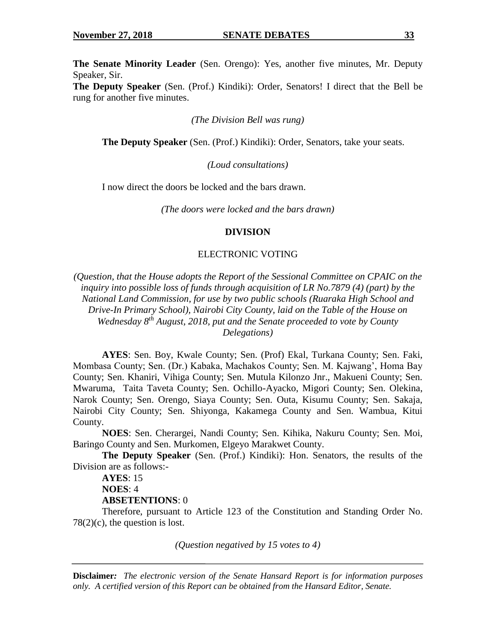**The Senate Minority Leader** (Sen. Orengo): Yes, another five minutes, Mr. Deputy Speaker, Sir.

**The Deputy Speaker** (Sen. (Prof.) Kindiki): Order, Senators! I direct that the Bell be rung for another five minutes.

*(The Division Bell was rung)*

**The Deputy Speaker** (Sen. (Prof.) Kindiki): Order, Senators, take your seats.

*(Loud consultations)*

I now direct the doors be locked and the bars drawn.

*(The doors were locked and the bars drawn)*

#### **DIVISION**

#### ELECTRONIC VOTING

*(Question, that the House adopts the Report of the Sessional Committee on CPAIC on the inquiry into possible loss of funds through acquisition of LR No.7879 (4) (part) by the National Land Commission, for use by two public schools (Ruaraka High School and Drive-In Primary School), Nairobi City County, laid on the Table of the House on Wednesday 8th August, 2018, put and the Senate proceeded to vote by County Delegations)*

**AYES**: Sen. Boy, Kwale County; Sen. (Prof) Ekal, Turkana County; Sen. Faki, Mombasa County; Sen. (Dr.) Kabaka, Machakos County; Sen. M. Kajwang', Homa Bay County; Sen. Khaniri, Vihiga County; Sen. Mutula Kilonzo Jnr., Makueni County; Sen. Mwaruma, Taita Taveta County; Sen. Ochillo-Ayacko, Migori County; Sen. Olekina, Narok County; Sen. Orengo, Siaya County; Sen. Outa, Kisumu County; Sen. Sakaja, Nairobi City County; Sen. Shiyonga, Kakamega County and Sen. Wambua, Kitui County.

**NOES**: Sen. Cherargei, Nandi County; Sen. Kihika, Nakuru County; Sen. Moi, Baringo County and Sen. Murkomen, Elgeyo Marakwet County.

**The Deputy Speaker** (Sen. (Prof.) Kindiki): Hon. Senators, the results of the Division are as follows:-

**AYES**: 15 **NOES**: 4

**ABSETENTIONS**: 0

Therefore, pursuant to Article 123 of the Constitution and Standing Order No.  $78(2)(c)$ , the question is lost.

*(Question negatived by 15 votes to 4)*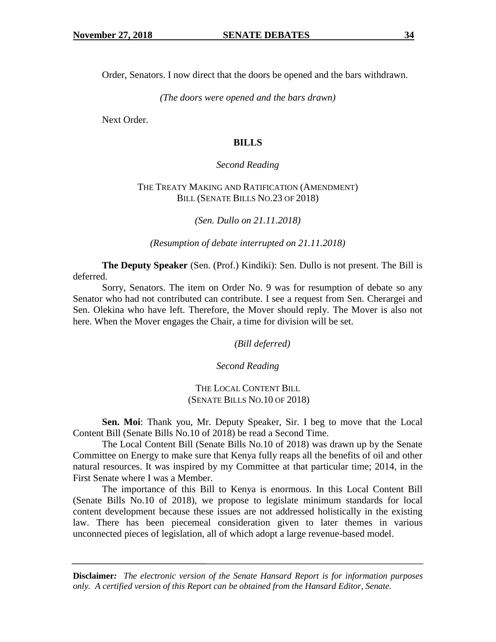Order, Senators. I now direct that the doors be opened and the bars withdrawn.

*(The doors were opened and the bars drawn)*

Next Order.

# **BILLS**

# *Second Reading*

# THE TREATY MAKING AND RATIFICATION (AMENDMENT) BILL (SENATE BILLS NO.23 OF 2018)

*(Sen. Dullo on 21.11.2018)*

*(Resumption of debate interrupted on 21.11.2018)*

**The Deputy Speaker** (Sen. (Prof.) Kindiki): Sen. Dullo is not present. The Bill is deferred.

Sorry, Senators. The item on Order No. 9 was for resumption of debate so any Senator who had not contributed can contribute. I see a request from Sen. Cherargei and Sen. Olekina who have left. Therefore, the Mover should reply. The Mover is also not here. When the Mover engages the Chair, a time for division will be set.

*(Bill deferred)*

*Second Reading*

THE LOCAL CONTENT BILL (SENATE BILLS NO.10 OF 2018)

**Sen. Moi**: Thank you, Mr. Deputy Speaker, Sir. I beg to move that the Local Content Bill (Senate Bills No.10 of 2018) be read a Second Time.

The Local Content Bill (Senate Bills No.10 of 2018) was drawn up by the Senate Committee on Energy to make sure that Kenya fully reaps all the benefits of oil and other natural resources. It was inspired by my Committee at that particular time; 2014, in the First Senate where I was a Member.

The importance of this Bill to Kenya is enormous. In this Local Content Bill (Senate Bills No.10 of 2018), we propose to legislate minimum standards for local content development because these issues are not addressed holistically in the existing law. There has been piecemeal consideration given to later themes in various unconnected pieces of legislation, all of which adopt a large revenue-based model.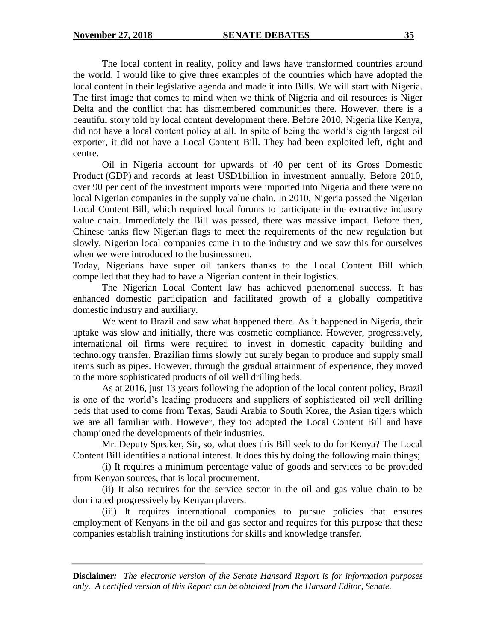The local content in reality, policy and laws have transformed countries around the world. I would like to give three examples of the countries which have adopted the local content in their legislative agenda and made it into Bills. We will start with Nigeria. The first image that comes to mind when we think of Nigeria and oil resources is Niger Delta and the conflict that has dismembered communities there. However, there is a beautiful story told by local content development there. Before 2010, Nigeria like Kenya, did not have a local content policy at all. In spite of being the world's eighth largest oil exporter, it did not have a Local Content Bill. They had been exploited left, right and centre.

Oil in Nigeria account for upwards of 40 per cent of its Gross Domestic Product (GDP) and records at least USD1billion in investment annually. Before 2010, over 90 per cent of the investment imports were imported into Nigeria and there were no local Nigerian companies in the supply value chain. In 2010, Nigeria passed the Nigerian Local Content Bill, which required local forums to participate in the extractive industry value chain. Immediately the Bill was passed, there was massive impact. Before then, Chinese tanks flew Nigerian flags to meet the requirements of the new regulation but slowly, Nigerian local companies came in to the industry and we saw this for ourselves when we were introduced to the businessmen.

Today, Nigerians have super oil tankers thanks to the Local Content Bill which compelled that they had to have a Nigerian content in their logistics.

The Nigerian Local Content law has achieved phenomenal success. It has enhanced domestic participation and facilitated growth of a globally competitive domestic industry and auxiliary.

We went to Brazil and saw what happened there. As it happened in Nigeria, their uptake was slow and initially, there was cosmetic compliance. However, progressively, international oil firms were required to invest in domestic capacity building and technology transfer. Brazilian firms slowly but surely began to produce and supply small items such as pipes. However, through the gradual attainment of experience, they moved to the more sophisticated products of oil well drilling beds.

As at 2016, just 13 years following the adoption of the local content policy, Brazil is one of the world's leading producers and suppliers of sophisticated oil well drilling beds that used to come from Texas, Saudi Arabia to South Korea, the Asian tigers which we are all familiar with. However, they too adopted the Local Content Bill and have championed the developments of their industries.

Mr. Deputy Speaker, Sir, so, what does this Bill seek to do for Kenya? The Local Content Bill identifies a national interest. It does this by doing the following main things;

(i) It requires a minimum percentage value of goods and services to be provided from Kenyan sources, that is local procurement.

(ii) It also requires for the service sector in the oil and gas value chain to be dominated progressively by Kenyan players.

(iii) It requires international companies to pursue policies that ensures employment of Kenyans in the oil and gas sector and requires for this purpose that these companies establish training institutions for skills and knowledge transfer.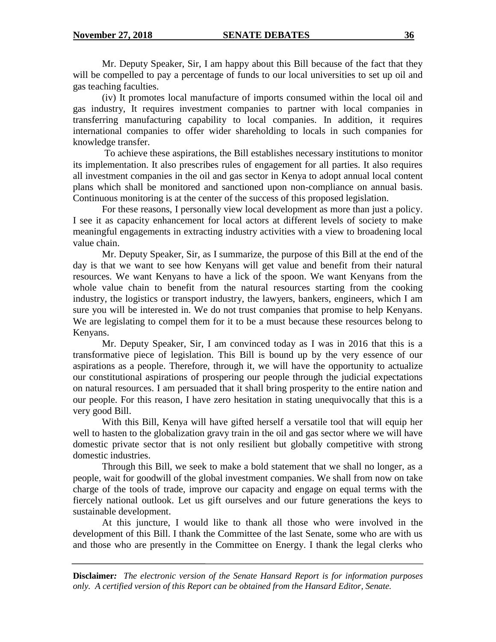Mr. Deputy Speaker, Sir, I am happy about this Bill because of the fact that they will be compelled to pay a percentage of funds to our local universities to set up oil and gas teaching faculties.

(iv) It promotes local manufacture of imports consumed within the local oil and gas industry, It requires investment companies to partner with local companies in transferring manufacturing capability to local companies. In addition, it requires international companies to offer wider shareholding to locals in such companies for knowledge transfer.

To achieve these aspirations, the Bill establishes necessary institutions to monitor its implementation. It also prescribes rules of engagement for all parties. It also requires all investment companies in the oil and gas sector in Kenya to adopt annual local content plans which shall be monitored and sanctioned upon non-compliance on annual basis. Continuous monitoring is at the center of the success of this proposed legislation.

For these reasons, I personally view local development as more than just a policy. I see it as capacity enhancement for local actors at different levels of society to make meaningful engagements in extracting industry activities with a view to broadening local value chain.

Mr. Deputy Speaker, Sir, as I summarize, the purpose of this Bill at the end of the day is that we want to see how Kenyans will get value and benefit from their natural resources. We want Kenyans to have a lick of the spoon. We want Kenyans from the whole value chain to benefit from the natural resources starting from the cooking industry, the logistics or transport industry, the lawyers, bankers, engineers, which I am sure you will be interested in. We do not trust companies that promise to help Kenyans. We are legislating to compel them for it to be a must because these resources belong to Kenyans.

Mr. Deputy Speaker, Sir, I am convinced today as I was in 2016 that this is a transformative piece of legislation. This Bill is bound up by the very essence of our aspirations as a people. Therefore, through it, we will have the opportunity to actualize our constitutional aspirations of prospering our people through the judicial expectations on natural resources. I am persuaded that it shall bring prosperity to the entire nation and our people. For this reason, I have zero hesitation in stating unequivocally that this is a very good Bill.

With this Bill, Kenya will have gifted herself a versatile tool that will equip her well to hasten to the globalization gravy train in the oil and gas sector where we will have domestic private sector that is not only resilient but globally competitive with strong domestic industries.

Through this Bill, we seek to make a bold statement that we shall no longer, as a people, wait for goodwill of the global investment companies. We shall from now on take charge of the tools of trade, improve our capacity and engage on equal terms with the fiercely national outlook. Let us gift ourselves and our future generations the keys to sustainable development.

At this juncture, I would like to thank all those who were involved in the development of this Bill. I thank the Committee of the last Senate, some who are with us and those who are presently in the Committee on Energy. I thank the legal clerks who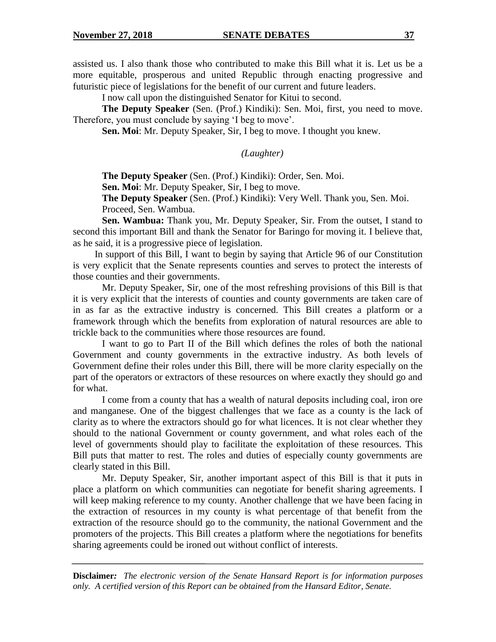assisted us. I also thank those who contributed to make this Bill what it is. Let us be a more equitable, prosperous and united Republic through enacting progressive and futuristic piece of legislations for the benefit of our current and future leaders.

I now call upon the distinguished Senator for Kitui to second.

**The Deputy Speaker** (Sen. (Prof.) Kindiki): Sen. Moi, first, you need to move. Therefore, you must conclude by saying 'I beg to move'.

**Sen. Moi**: Mr. Deputy Speaker, Sir, I beg to move. I thought you knew.

*(Laughter)*

**The Deputy Speaker** (Sen. (Prof.) Kindiki): Order, Sen. Moi.

**Sen. Moi**: Mr. Deputy Speaker, Sir, I beg to move.

**The Deputy Speaker** (Sen. (Prof.) Kindiki): Very Well. Thank you, Sen. Moi. Proceed, Sen. Wambua.

**Sen. Wambua:** Thank you, Mr. Deputy Speaker, Sir. From the outset, I stand to second this important Bill and thank the Senator for Baringo for moving it. I believe that, as he said, it is a progressive piece of legislation.

In support of this Bill, I want to begin by saying that Article 96 of our Constitution is very explicit that the Senate represents counties and serves to protect the interests of those counties and their governments.

Mr. Deputy Speaker, Sir, one of the most refreshing provisions of this Bill is that it is very explicit that the interests of counties and county governments are taken care of in as far as the extractive industry is concerned. This Bill creates a platform or a framework through which the benefits from exploration of natural resources are able to trickle back to the communities where those resources are found.

I want to go to Part II of the Bill which defines the roles of both the national Government and county governments in the extractive industry. As both levels of Government define their roles under this Bill, there will be more clarity especially on the part of the operators or extractors of these resources on where exactly they should go and for what.

I come from a county that has a wealth of natural deposits including coal, iron ore and manganese. One of the biggest challenges that we face as a county is the lack of clarity as to where the extractors should go for what licences. It is not clear whether they should to the national Government or county government, and what roles each of the level of governments should play to facilitate the exploitation of these resources. This Bill puts that matter to rest. The roles and duties of especially county governments are clearly stated in this Bill.

Mr. Deputy Speaker, Sir, another important aspect of this Bill is that it puts in place a platform on which communities can negotiate for benefit sharing agreements. I will keep making reference to my county. Another challenge that we have been facing in the extraction of resources in my county is what percentage of that benefit from the extraction of the resource should go to the community, the national Government and the promoters of the projects. This Bill creates a platform where the negotiations for benefits sharing agreements could be ironed out without conflict of interests.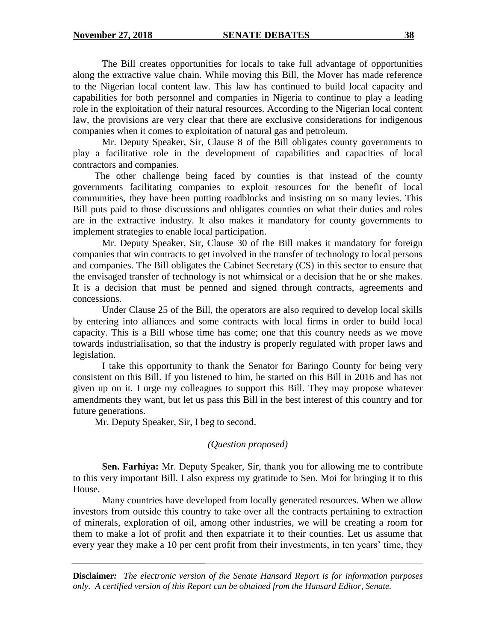The Bill creates opportunities for locals to take full advantage of opportunities along the extractive value chain. While moving this Bill, the Mover has made reference to the Nigerian local content law. This law has continued to build local capacity and capabilities for both personnel and companies in Nigeria to continue to play a leading role in the exploitation of their natural resources. According to the Nigerian local content law, the provisions are very clear that there are exclusive considerations for indigenous companies when it comes to exploitation of natural gas and petroleum.

Mr. Deputy Speaker, Sir, Clause 8 of the Bill obligates county governments to play a facilitative role in the development of capabilities and capacities of local contractors and companies.

The other challenge being faced by counties is that instead of the county governments facilitating companies to exploit resources for the benefit of local communities, they have been putting roadblocks and insisting on so many levies. This Bill puts paid to those discussions and obligates counties on what their duties and roles are in the extractive industry. It also makes it mandatory for county governments to implement strategies to enable local participation.

Mr. Deputy Speaker, Sir, Clause 30 of the Bill makes it mandatory for foreign companies that win contracts to get involved in the transfer of technology to local persons and companies. The Bill obligates the Cabinet Secretary (CS) in this sector to ensure that the envisaged transfer of technology is not whimsical or a decision that he or she makes. It is a decision that must be penned and signed through contracts, agreements and concessions.

Under Clause 25 of the Bill, the operators are also required to develop local skills by entering into alliances and some contracts with local firms in order to build local capacity. This is a Bill whose time has come; one that this country needs as we move towards industrialisation, so that the industry is properly regulated with proper laws and legislation.

I take this opportunity to thank the Senator for Baringo County for being very consistent on this Bill. If you listened to him, he started on this Bill in 2016 and has not given up on it. I urge my colleagues to support this Bill. They may propose whatever amendments they want, but let us pass this Bill in the best interest of this country and for future generations.

Mr. Deputy Speaker, Sir, I beg to second.

# *(Question proposed)*

**Sen. Farhiya:** Mr. Deputy Speaker, Sir, thank you for allowing me to contribute to this very important Bill. I also express my gratitude to Sen. Moi for bringing it to this House.

Many countries have developed from locally generated resources. When we allow investors from outside this country to take over all the contracts pertaining to extraction of minerals, exploration of oil, among other industries, we will be creating a room for them to make a lot of profit and then expatriate it to their counties. Let us assume that every year they make a 10 per cent profit from their investments, in ten years' time, they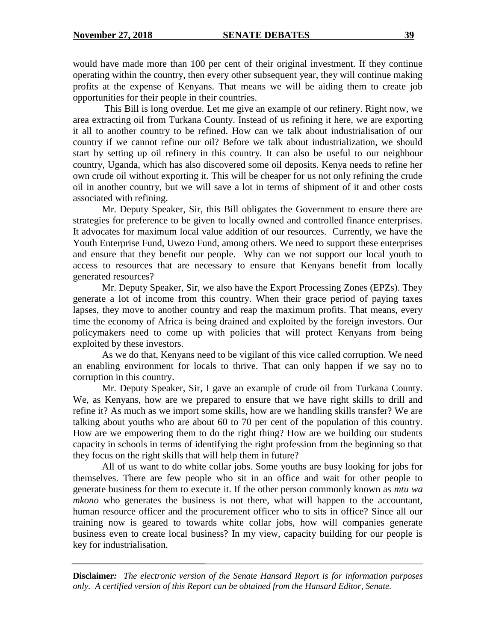would have made more than 100 per cent of their original investment. If they continue operating within the country, then every other subsequent year, they will continue making profits at the expense of Kenyans. That means we will be aiding them to create job opportunities for their people in their countries.

This Bill is long overdue. Let me give an example of our refinery. Right now, we area extracting oil from Turkana County. Instead of us refining it here, we are exporting it all to another country to be refined. How can we talk about industrialisation of our country if we cannot refine our oil? Before we talk about industrialization, we should start by setting up oil refinery in this country. It can also be useful to our neighbour country, Uganda, which has also discovered some oil deposits. Kenya needs to refine her own crude oil without exporting it. This will be cheaper for us not only refining the crude oil in another country, but we will save a lot in terms of shipment of it and other costs associated with refining.

Mr. Deputy Speaker, Sir, this Bill obligates the Government to ensure there are strategies for preference to be given to locally owned and controlled finance enterprises. It advocates for maximum local value addition of our resources. Currently, we have the Youth Enterprise Fund, Uwezo Fund, among others. We need to support these enterprises and ensure that they benefit our people. Why can we not support our local youth to access to resources that are necessary to ensure that Kenyans benefit from locally generated resources?

Mr. Deputy Speaker, Sir, we also have the Export Processing Zones (EPZs). They generate a lot of income from this country. When their grace period of paying taxes lapses, they move to another country and reap the maximum profits. That means, every time the economy of Africa is being drained and exploited by the foreign investors. Our policymakers need to come up with policies that will protect Kenyans from being exploited by these investors.

As we do that, Kenyans need to be vigilant of this vice called corruption. We need an enabling environment for locals to thrive. That can only happen if we say no to corruption in this country.

Mr. Deputy Speaker, Sir, I gave an example of crude oil from Turkana County. We, as Kenyans, how are we prepared to ensure that we have right skills to drill and refine it? As much as we import some skills, how are we handling skills transfer? We are talking about youths who are about 60 to 70 per cent of the population of this country. How are we empowering them to do the right thing? How are we building our students capacity in schools in terms of identifying the right profession from the beginning so that they focus on the right skills that will help them in future?

All of us want to do white collar jobs. Some youths are busy looking for jobs for themselves. There are few people who sit in an office and wait for other people to generate business for them to execute it. If the other person commonly known as *mtu wa mkono* who generates the business is not there, what will happen to the accountant, human resource officer and the procurement officer who to sits in office? Since all our training now is geared to towards white collar jobs, how will companies generate business even to create local business? In my view, capacity building for our people is key for industrialisation.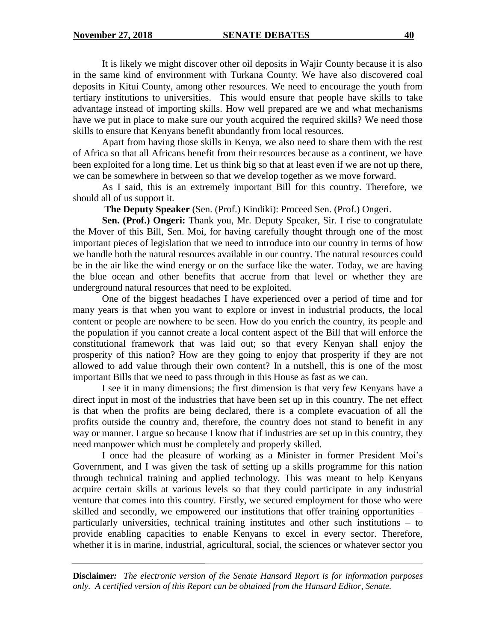It is likely we might discover other oil deposits in Wajir County because it is also in the same kind of environment with Turkana County. We have also discovered coal deposits in Kitui County, among other resources. We need to encourage the youth from tertiary institutions to universities. This would ensure that people have skills to take advantage instead of importing skills. How well prepared are we and what mechanisms have we put in place to make sure our youth acquired the required skills? We need those skills to ensure that Kenyans benefit abundantly from local resources.

Apart from having those skills in Kenya, we also need to share them with the rest of Africa so that all Africans benefit from their resources because as a continent, we have been exploited for a long time. Let us think big so that at least even if we are not up there, we can be somewhere in between so that we develop together as we move forward.

As I said, this is an extremely important Bill for this country. Therefore, we should all of us support it.

**The Deputy Speaker** (Sen. (Prof.) Kindiki): Proceed Sen. (Prof.) Ongeri.

**Sen. (Prof.) Ongeri:** Thank you, Mr. Deputy Speaker, Sir. I rise to congratulate the Mover of this Bill, Sen. Moi, for having carefully thought through one of the most important pieces of legislation that we need to introduce into our country in terms of how we handle both the natural resources available in our country. The natural resources could be in the air like the wind energy or on the surface like the water. Today, we are having the blue ocean and other benefits that accrue from that level or whether they are underground natural resources that need to be exploited.

One of the biggest headaches I have experienced over a period of time and for many years is that when you want to explore or invest in industrial products, the local content or people are nowhere to be seen. How do you enrich the country, its people and the population if you cannot create a local content aspect of the Bill that will enforce the constitutional framework that was laid out; so that every Kenyan shall enjoy the prosperity of this nation? How are they going to enjoy that prosperity if they are not allowed to add value through their own content? In a nutshell, this is one of the most important Bills that we need to pass through in this House as fast as we can.

I see it in many dimensions; the first dimension is that very few Kenyans have a direct input in most of the industries that have been set up in this country. The net effect is that when the profits are being declared, there is a complete evacuation of all the profits outside the country and, therefore, the country does not stand to benefit in any way or manner. I argue so because I know that if industries are set up in this country, they need manpower which must be completely and properly skilled.

I once had the pleasure of working as a Minister in former President Moi's Government, and I was given the task of setting up a skills programme for this nation through technical training and applied technology. This was meant to help Kenyans acquire certain skills at various levels so that they could participate in any industrial venture that comes into this country. Firstly, we secured employment for those who were skilled and secondly, we empowered our institutions that offer training opportunities – particularly universities, technical training institutes and other such institutions – to provide enabling capacities to enable Kenyans to excel in every sector. Therefore, whether it is in marine, industrial, agricultural, social, the sciences or whatever sector you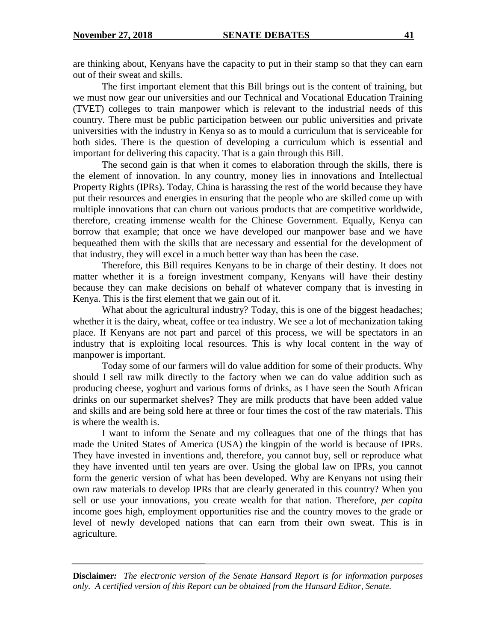are thinking about, Kenyans have the capacity to put in their stamp so that they can earn out of their sweat and skills.

The first important element that this Bill brings out is the content of training, but we must now gear our universities and our Technical and Vocational Education Training (TVET) colleges to train manpower which is relevant to the industrial needs of this country. There must be public participation between our public universities and private universities with the industry in Kenya so as to mould a curriculum that is serviceable for both sides. There is the question of developing a curriculum which is essential and important for delivering this capacity. That is a gain through this Bill.

The second gain is that when it comes to elaboration through the skills, there is the element of innovation. In any country, money lies in innovations and Intellectual Property Rights (IPRs). Today, China is harassing the rest of the world because they have put their resources and energies in ensuring that the people who are skilled come up with multiple innovations that can churn out various products that are competitive worldwide, therefore, creating immense wealth for the Chinese Government. Equally, Kenya can borrow that example; that once we have developed our manpower base and we have bequeathed them with the skills that are necessary and essential for the development of that industry, they will excel in a much better way than has been the case.

Therefore, this Bill requires Kenyans to be in charge of their destiny. It does not matter whether it is a foreign investment company, Kenyans will have their destiny because they can make decisions on behalf of whatever company that is investing in Kenya. This is the first element that we gain out of it.

What about the agricultural industry? Today, this is one of the biggest headaches; whether it is the dairy, wheat, coffee or tea industry. We see a lot of mechanization taking place. If Kenyans are not part and parcel of this process, we will be spectators in an industry that is exploiting local resources. This is why local content in the way of manpower is important.

Today some of our farmers will do value addition for some of their products. Why should I sell raw milk directly to the factory when we can do value addition such as producing cheese, yoghurt and various forms of drinks, as I have seen the South African drinks on our supermarket shelves? They are milk products that have been added value and skills and are being sold here at three or four times the cost of the raw materials. This is where the wealth is.

I want to inform the Senate and my colleagues that one of the things that has made the United States of America (USA) the kingpin of the world is because of IPRs. They have invested in inventions and, therefore, you cannot buy, sell or reproduce what they have invented until ten years are over. Using the global law on IPRs, you cannot form the generic version of what has been developed. Why are Kenyans not using their own raw materials to develop IPRs that are clearly generated in this country? When you sell or use your innovations, you create wealth for that nation. Therefore, *per capita* income goes high, employment opportunities rise and the country moves to the grade or level of newly developed nations that can earn from their own sweat. This is in agriculture.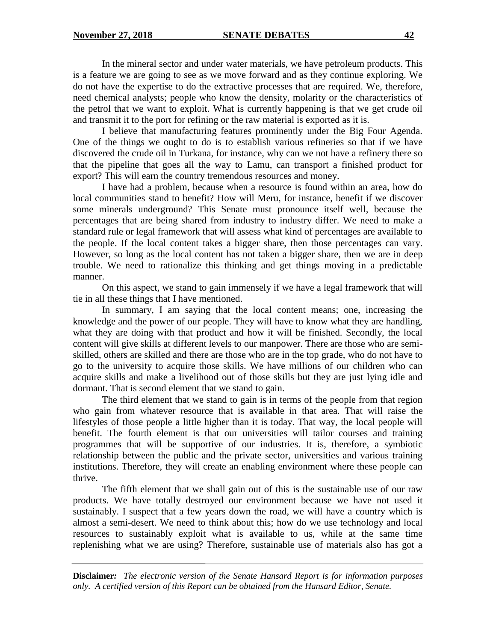In the mineral sector and under water materials, we have petroleum products. This is a feature we are going to see as we move forward and as they continue exploring. We do not have the expertise to do the extractive processes that are required. We, therefore, need chemical analysts; people who know the density, molarity or the characteristics of the petrol that we want to exploit. What is currently happening is that we get crude oil and transmit it to the port for refining or the raw material is exported as it is.

I believe that manufacturing features prominently under the Big Four Agenda. One of the things we ought to do is to establish various refineries so that if we have discovered the crude oil in Turkana, for instance, why can we not have a refinery there so that the pipeline that goes all the way to Lamu, can transport a finished product for export? This will earn the country tremendous resources and money.

I have had a problem, because when a resource is found within an area, how do local communities stand to benefit? How will Meru, for instance, benefit if we discover some minerals underground? This Senate must pronounce itself well, because the percentages that are being shared from industry to industry differ. We need to make a standard rule or legal framework that will assess what kind of percentages are available to the people. If the local content takes a bigger share, then those percentages can vary. However, so long as the local content has not taken a bigger share, then we are in deep trouble. We need to rationalize this thinking and get things moving in a predictable manner.

On this aspect, we stand to gain immensely if we have a legal framework that will tie in all these things that I have mentioned.

In summary, I am saying that the local content means; one, increasing the knowledge and the power of our people. They will have to know what they are handling, what they are doing with that product and how it will be finished. Secondly, the local content will give skills at different levels to our manpower. There are those who are semiskilled, others are skilled and there are those who are in the top grade, who do not have to go to the university to acquire those skills. We have millions of our children who can acquire skills and make a livelihood out of those skills but they are just lying idle and dormant. That is second element that we stand to gain.

The third element that we stand to gain is in terms of the people from that region who gain from whatever resource that is available in that area. That will raise the lifestyles of those people a little higher than it is today. That way, the local people will benefit. The fourth element is that our universities will tailor courses and training programmes that will be supportive of our industries. It is, therefore, a symbiotic relationship between the public and the private sector, universities and various training institutions. Therefore, they will create an enabling environment where these people can thrive.

The fifth element that we shall gain out of this is the sustainable use of our raw products. We have totally destroyed our environment because we have not used it sustainably. I suspect that a few years down the road, we will have a country which is almost a semi-desert. We need to think about this; how do we use technology and local resources to sustainably exploit what is available to us, while at the same time replenishing what we are using? Therefore, sustainable use of materials also has got a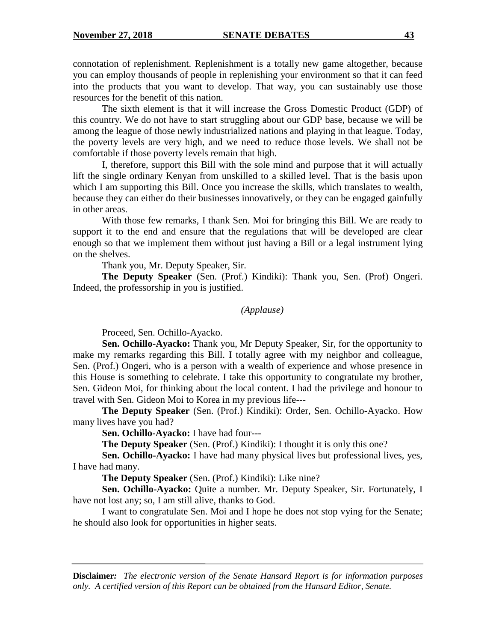connotation of replenishment. Replenishment is a totally new game altogether, because you can employ thousands of people in replenishing your environment so that it can feed into the products that you want to develop. That way, you can sustainably use those resources for the benefit of this nation.

The sixth element is that it will increase the Gross Domestic Product (GDP) of this country. We do not have to start struggling about our GDP base, because we will be among the league of those newly industrialized nations and playing in that league. Today, the poverty levels are very high, and we need to reduce those levels. We shall not be comfortable if those poverty levels remain that high.

I, therefore, support this Bill with the sole mind and purpose that it will actually lift the single ordinary Kenyan from unskilled to a skilled level. That is the basis upon which I am supporting this Bill. Once you increase the skills, which translates to wealth, because they can either do their businesses innovatively, or they can be engaged gainfully in other areas.

With those few remarks, I thank Sen. Moi for bringing this Bill. We are ready to support it to the end and ensure that the regulations that will be developed are clear enough so that we implement them without just having a Bill or a legal instrument lying on the shelves.

Thank you, Mr. Deputy Speaker, Sir.

**The Deputy Speaker** (Sen. (Prof.) Kindiki): Thank you, Sen. (Prof) Ongeri. Indeed, the professorship in you is justified.

#### *(Applause)*

Proceed, Sen. Ochillo-Ayacko.

**Sen. Ochillo-Ayacko:** Thank you, Mr Deputy Speaker, Sir, for the opportunity to make my remarks regarding this Bill. I totally agree with my neighbor and colleague, Sen. (Prof.) Ongeri, who is a person with a wealth of experience and whose presence in this House is something to celebrate. I take this opportunity to congratulate my brother, Sen. Gideon Moi, for thinking about the local content. I had the privilege and honour to travel with Sen. Gideon Moi to Korea in my previous life---

**The Deputy Speaker** (Sen. (Prof.) Kindiki): Order, Sen. Ochillo-Ayacko. How many lives have you had?

**Sen. Ochillo-Ayacko:** I have had four---

**The Deputy Speaker** (Sen. (Prof.) Kindiki): I thought it is only this one?

**Sen. Ochillo-Ayacko:** I have had many physical lives but professional lives, yes, I have had many.

**The Deputy Speaker** (Sen. (Prof.) Kindiki): Like nine?

**Sen. Ochillo-Ayacko:** Quite a number. Mr. Deputy Speaker, Sir. Fortunately, I have not lost any; so, I am still alive, thanks to God.

I want to congratulate Sen. Moi and I hope he does not stop vying for the Senate; he should also look for opportunities in higher seats.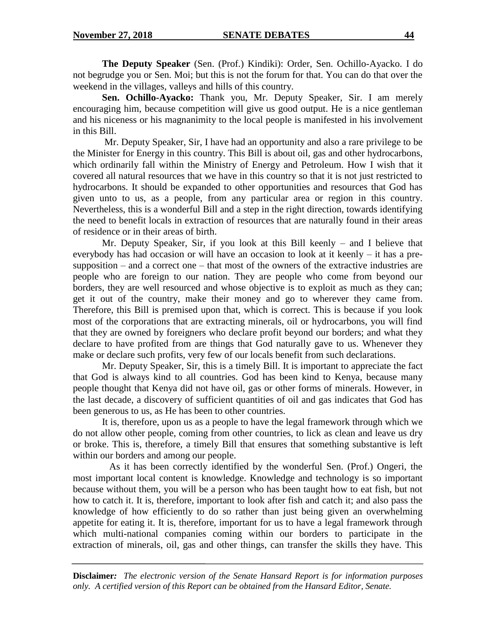**The Deputy Speaker** (Sen. (Prof.) Kindiki): Order, Sen. Ochillo-Ayacko. I do not begrudge you or Sen. Moi; but this is not the forum for that. You can do that over the weekend in the villages, valleys and hills of this country.

**Sen. Ochillo-Ayacko:** Thank you, Mr. Deputy Speaker, Sir. I am merely encouraging him, because competition will give us good output. He is a nice gentleman and his niceness or his magnanimity to the local people is manifested in his involvement in this Bill.

Mr. Deputy Speaker, Sir, I have had an opportunity and also a rare privilege to be the Minister for Energy in this country. This Bill is about oil, gas and other hydrocarbons, which ordinarily fall within the Ministry of Energy and Petroleum. How I wish that it covered all natural resources that we have in this country so that it is not just restricted to hydrocarbons. It should be expanded to other opportunities and resources that God has given unto to us, as a people, from any particular area or region in this country. Nevertheless, this is a wonderful Bill and a step in the right direction, towards identifying the need to benefit locals in extraction of resources that are naturally found in their areas of residence or in their areas of birth.

Mr. Deputy Speaker, Sir, if you look at this Bill keenly – and I believe that everybody has had occasion or will have an occasion to look at it keenly – it has a presupposition – and a correct one – that most of the owners of the extractive industries are people who are foreign to our nation. They are people who come from beyond our borders, they are well resourced and whose objective is to exploit as much as they can; get it out of the country, make their money and go to wherever they came from. Therefore, this Bill is premised upon that, which is correct. This is because if you look most of the corporations that are extracting minerals, oil or hydrocarbons, you will find that they are owned by foreigners who declare profit beyond our borders; and what they declare to have profited from are things that God naturally gave to us. Whenever they make or declare such profits, very few of our locals benefit from such declarations.

Mr. Deputy Speaker, Sir, this is a timely Bill. It is important to appreciate the fact that God is always kind to all countries. God has been kind to Kenya, because many people thought that Kenya did not have oil, gas or other forms of minerals. However, in the last decade, a discovery of sufficient quantities of oil and gas indicates that God has been generous to us, as He has been to other countries.

It is, therefore, upon us as a people to have the legal framework through which we do not allow other people, coming from other countries, to lick as clean and leave us dry or broke. This is, therefore, a timely Bill that ensures that something substantive is left within our borders and among our people.

 As it has been correctly identified by the wonderful Sen. (Prof.) Ongeri, the most important local content is knowledge. Knowledge and technology is so important because without them, you will be a person who has been taught how to eat fish, but not how to catch it. It is, therefore, important to look after fish and catch it; and also pass the knowledge of how efficiently to do so rather than just being given an overwhelming appetite for eating it. It is, therefore, important for us to have a legal framework through which multi-national companies coming within our borders to participate in the extraction of minerals, oil, gas and other things, can transfer the skills they have. This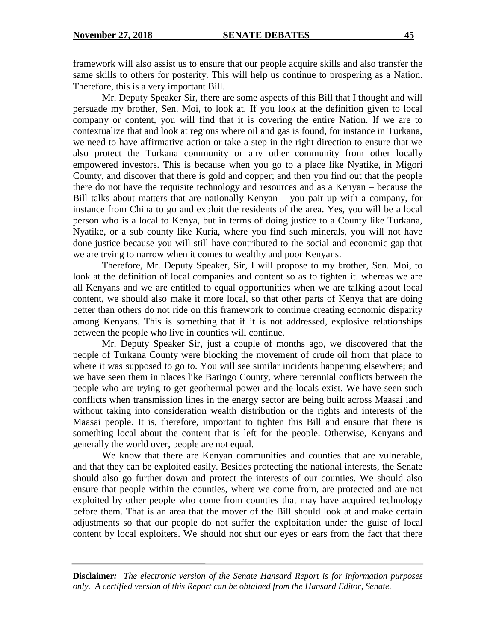framework will also assist us to ensure that our people acquire skills and also transfer the same skills to others for posterity. This will help us continue to prospering as a Nation. Therefore, this is a very important Bill.

Mr. Deputy Speaker Sir, there are some aspects of this Bill that I thought and will persuade my brother, Sen. Moi, to look at. If you look at the definition given to local company or content, you will find that it is covering the entire Nation. If we are to contextualize that and look at regions where oil and gas is found, for instance in Turkana, we need to have affirmative action or take a step in the right direction to ensure that we also protect the Turkana community or any other community from other locally empowered investors. This is because when you go to a place like Nyatike, in Migori County, and discover that there is gold and copper; and then you find out that the people there do not have the requisite technology and resources and as a Kenyan – because the Bill talks about matters that are nationally Kenyan – you pair up with a company, for instance from China to go and exploit the residents of the area. Yes, you will be a local person who is a local to Kenya, but in terms of doing justice to a County like Turkana, Nyatike, or a sub county like Kuria, where you find such minerals, you will not have done justice because you will still have contributed to the social and economic gap that we are trying to narrow when it comes to wealthy and poor Kenyans.

Therefore, Mr. Deputy Speaker, Sir, I will propose to my brother, Sen. Moi, to look at the definition of local companies and content so as to tighten it. whereas we are all Kenyans and we are entitled to equal opportunities when we are talking about local content, we should also make it more local, so that other parts of Kenya that are doing better than others do not ride on this framework to continue creating economic disparity among Kenyans. This is something that if it is not addressed, explosive relationships between the people who live in counties will continue.

Mr. Deputy Speaker Sir, just a couple of months ago, we discovered that the people of Turkana County were blocking the movement of crude oil from that place to where it was supposed to go to. You will see similar incidents happening elsewhere; and we have seen them in places like Baringo County, where perennial conflicts between the people who are trying to get geothermal power and the locals exist. We have seen such conflicts when transmission lines in the energy sector are being built across Maasai land without taking into consideration wealth distribution or the rights and interests of the Maasai people. It is, therefore, important to tighten this Bill and ensure that there is something local about the content that is left for the people. Otherwise, Kenyans and generally the world over, people are not equal.

We know that there are Kenyan communities and counties that are vulnerable, and that they can be exploited easily. Besides protecting the national interests, the Senate should also go further down and protect the interests of our counties. We should also ensure that people within the counties, where we come from, are protected and are not exploited by other people who come from counties that may have acquired technology before them. That is an area that the mover of the Bill should look at and make certain adjustments so that our people do not suffer the exploitation under the guise of local content by local exploiters. We should not shut our eyes or ears from the fact that there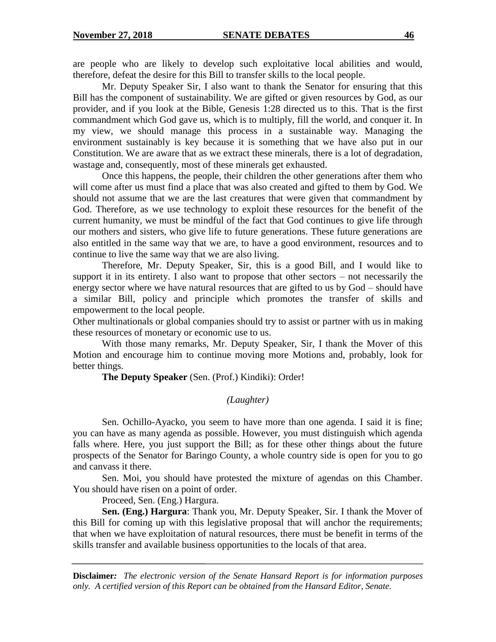are people who are likely to develop such exploitative local abilities and would, therefore, defeat the desire for this Bill to transfer skills to the local people.

Mr. Deputy Speaker Sir, I also want to thank the Senator for ensuring that this Bill has the component of sustainability. We are gifted or given resources by God, as our provider, and if you look at the Bible, Genesis 1:28 directed us to this. That is the first commandment which God gave us, which is to multiply, fill the world, and conquer it. In my view, we should manage this process in a sustainable way. Managing the environment sustainably is key because it is something that we have also put in our Constitution. We are aware that as we extract these minerals, there is a lot of degradation, wastage and, consequently, most of these minerals get exhausted.

Once this happens, the people, their children the other generations after them who will come after us must find a place that was also created and gifted to them by God. We should not assume that we are the last creatures that were given that commandment by God. Therefore, as we use technology to exploit these resources for the benefit of the current humanity, we must be mindful of the fact that God continues to give life through our mothers and sisters, who give life to future generations. These future generations are also entitled in the same way that we are, to have a good environment, resources and to continue to live the same way that we are also living.

Therefore, Mr. Deputy Speaker, Sir, this is a good Bill, and I would like to support it in its entirety. I also want to propose that other sectors – not necessarily the energy sector where we have natural resources that are gifted to us by God – should have a similar Bill, policy and principle which promotes the transfer of skills and empowerment to the local people.

Other multinationals or global companies should try to assist or partner with us in making these resources of monetary or economic use to us.

With those many remarks, Mr. Deputy Speaker, Sir, I thank the Mover of this Motion and encourage him to continue moving more Motions and, probably, look for better things.

**The Deputy Speaker** (Sen. (Prof.) Kindiki): Order!

# *(Laughter)*

Sen. Ochillo-Ayacko, you seem to have more than one agenda. I said it is fine; you can have as many agenda as possible. However, you must distinguish which agenda falls where. Here, you just support the Bill; as for these other things about the future prospects of the Senator for Baringo County, a whole country side is open for you to go and canvass it there.

Sen. Moi, you should have protested the mixture of agendas on this Chamber. You should have risen on a point of order.

Proceed, Sen. (Eng.) Hargura.

**Sen. (Eng.) Hargura**: Thank you, Mr. Deputy Speaker, Sir. I thank the Mover of this Bill for coming up with this legislative proposal that will anchor the requirements; that when we have exploitation of natural resources, there must be benefit in terms of the skills transfer and available business opportunities to the locals of that area.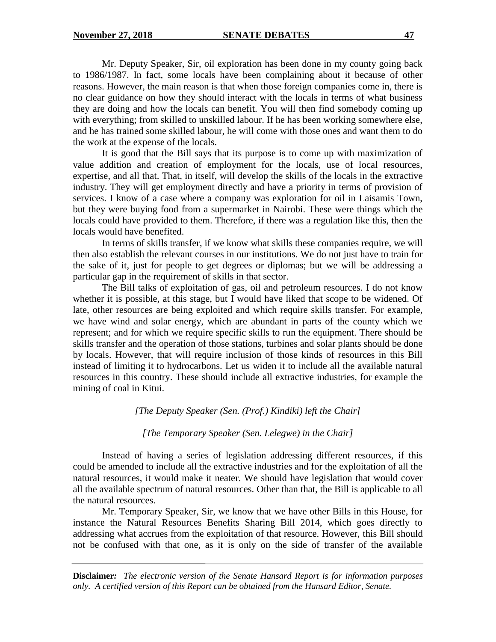Mr. Deputy Speaker, Sir, oil exploration has been done in my county going back to 1986/1987. In fact, some locals have been complaining about it because of other reasons. However, the main reason is that when those foreign companies come in, there is no clear guidance on how they should interact with the locals in terms of what business they are doing and how the locals can benefit. You will then find somebody coming up with everything; from skilled to unskilled labour. If he has been working somewhere else, and he has trained some skilled labour, he will come with those ones and want them to do the work at the expense of the locals.

It is good that the Bill says that its purpose is to come up with maximization of value addition and creation of employment for the locals, use of local resources, expertise, and all that. That, in itself, will develop the skills of the locals in the extractive industry. They will get employment directly and have a priority in terms of provision of services. I know of a case where a company was exploration for oil in Laisamis Town, but they were buying food from a supermarket in Nairobi. These were things which the locals could have provided to them. Therefore, if there was a regulation like this, then the locals would have benefited.

In terms of skills transfer, if we know what skills these companies require, we will then also establish the relevant courses in our institutions. We do not just have to train for the sake of it, just for people to get degrees or diplomas; but we will be addressing a particular gap in the requirement of skills in that sector.

The Bill talks of exploitation of gas, oil and petroleum resources. I do not know whether it is possible, at this stage, but I would have liked that scope to be widened. Of late, other resources are being exploited and which require skills transfer. For example, we have wind and solar energy, which are abundant in parts of the county which we represent; and for which we require specific skills to run the equipment. There should be skills transfer and the operation of those stations, turbines and solar plants should be done by locals. However, that will require inclusion of those kinds of resources in this Bill instead of limiting it to hydrocarbons. Let us widen it to include all the available natural resources in this country. These should include all extractive industries, for example the mining of coal in Kitui.

#### *[The Deputy Speaker (Sen. (Prof.) Kindiki) left the Chair]*

# *[The Temporary Speaker (Sen. Lelegwe) in the Chair]*

Instead of having a series of legislation addressing different resources, if this could be amended to include all the extractive industries and for the exploitation of all the natural resources, it would make it neater. We should have legislation that would cover all the available spectrum of natural resources. Other than that, the Bill is applicable to all the natural resources.

Mr. Temporary Speaker, Sir, we know that we have other Bills in this House, for instance the Natural Resources Benefits Sharing Bill 2014, which goes directly to addressing what accrues from the exploitation of that resource. However, this Bill should not be confused with that one, as it is only on the side of transfer of the available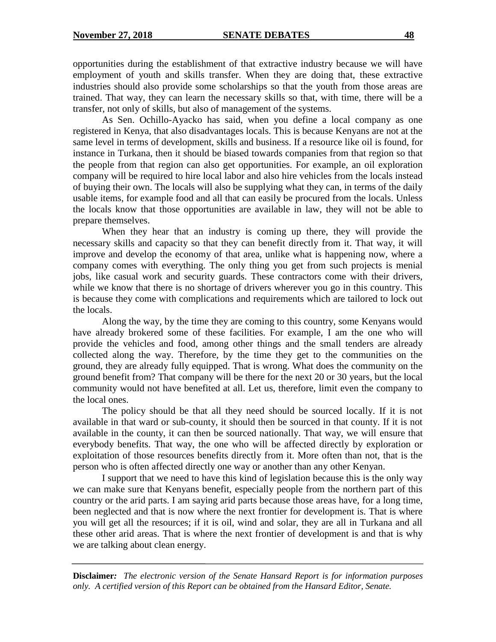opportunities during the establishment of that extractive industry because we will have employment of youth and skills transfer. When they are doing that, these extractive industries should also provide some scholarships so that the youth from those areas are trained. That way, they can learn the necessary skills so that, with time, there will be a transfer, not only of skills, but also of management of the systems.

As Sen. Ochillo-Ayacko has said, when you define a local company as one registered in Kenya, that also disadvantages locals. This is because Kenyans are not at the same level in terms of development, skills and business. If a resource like oil is found, for instance in Turkana, then it should be biased towards companies from that region so that the people from that region can also get opportunities. For example, an oil exploration company will be required to hire local labor and also hire vehicles from the locals instead of buying their own. The locals will also be supplying what they can, in terms of the daily usable items, for example food and all that can easily be procured from the locals. Unless the locals know that those opportunities are available in law, they will not be able to prepare themselves.

When they hear that an industry is coming up there, they will provide the necessary skills and capacity so that they can benefit directly from it. That way, it will improve and develop the economy of that area, unlike what is happening now, where a company comes with everything. The only thing you get from such projects is menial jobs, like casual work and security guards. These contractors come with their drivers, while we know that there is no shortage of drivers wherever you go in this country. This is because they come with complications and requirements which are tailored to lock out the locals.

Along the way, by the time they are coming to this country, some Kenyans would have already brokered some of these facilities. For example, I am the one who will provide the vehicles and food, among other things and the small tenders are already collected along the way. Therefore, by the time they get to the communities on the ground, they are already fully equipped. That is wrong. What does the community on the ground benefit from? That company will be there for the next 20 or 30 years, but the local community would not have benefited at all. Let us, therefore, limit even the company to the local ones.

The policy should be that all they need should be sourced locally. If it is not available in that ward or sub-county, it should then be sourced in that county. If it is not available in the county, it can then be sourced nationally. That way, we will ensure that everybody benefits. That way, the one who will be affected directly by exploration or exploitation of those resources benefits directly from it. More often than not, that is the person who is often affected directly one way or another than any other Kenyan.

I support that we need to have this kind of legislation because this is the only way we can make sure that Kenyans benefit, especially people from the northern part of this country or the arid parts. I am saying arid parts because those areas have, for a long time, been neglected and that is now where the next frontier for development is. That is where you will get all the resources; if it is oil, wind and solar, they are all in Turkana and all these other arid areas. That is where the next frontier of development is and that is why we are talking about clean energy.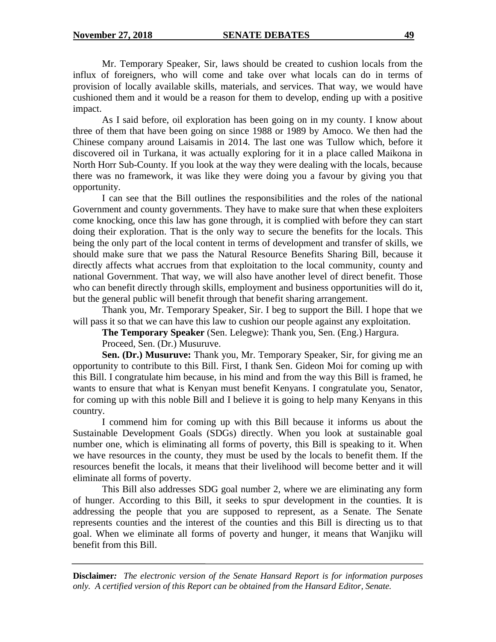Mr. Temporary Speaker, Sir, laws should be created to cushion locals from the influx of foreigners, who will come and take over what locals can do in terms of provision of locally available skills, materials, and services. That way, we would have cushioned them and it would be a reason for them to develop, ending up with a positive impact.

As I said before, oil exploration has been going on in my county. I know about three of them that have been going on since 1988 or 1989 by Amoco. We then had the Chinese company around Laisamis in 2014. The last one was Tullow which, before it discovered oil in Turkana, it was actually exploring for it in a place called Maikona in North Horr Sub-County. If you look at the way they were dealing with the locals, because there was no framework, it was like they were doing you a favour by giving you that opportunity.

I can see that the Bill outlines the responsibilities and the roles of the national Government and county governments. They have to make sure that when these exploiters come knocking, once this law has gone through, it is complied with before they can start doing their exploration. That is the only way to secure the benefits for the locals. This being the only part of the local content in terms of development and transfer of skills, we should make sure that we pass the Natural Resource Benefits Sharing Bill, because it directly affects what accrues from that exploitation to the local community, county and national Government. That way, we will also have another level of direct benefit. Those who can benefit directly through skills, employment and business opportunities will do it, but the general public will benefit through that benefit sharing arrangement.

Thank you, Mr. Temporary Speaker, Sir. I beg to support the Bill. I hope that we will pass it so that we can have this law to cushion our people against any exploitation.

**The Temporary Speaker** (Sen. Lelegwe): Thank you, Sen. (Eng.) Hargura.

Proceed, Sen. (Dr.) Musuruve.

**Sen. (Dr.) Musuruve:** Thank you, Mr. Temporary Speaker, Sir, for giving me an opportunity to contribute to this Bill. First, I thank Sen. Gideon Moi for coming up with this Bill. I congratulate him because, in his mind and from the way this Bill is framed, he wants to ensure that what is Kenyan must benefit Kenyans. I congratulate you, Senator, for coming up with this noble Bill and I believe it is going to help many Kenyans in this country.

I commend him for coming up with this Bill because it informs us about the Sustainable Development Goals (SDGs) directly. When you look at sustainable goal number one, which is eliminating all forms of poverty, this Bill is speaking to it. When we have resources in the county, they must be used by the locals to benefit them. If the resources benefit the locals, it means that their livelihood will become better and it will eliminate all forms of poverty.

This Bill also addresses SDG goal number 2, where we are eliminating any form of hunger. According to this Bill, it seeks to spur development in the counties. It is addressing the people that you are supposed to represent, as a Senate. The Senate represents counties and the interest of the counties and this Bill is directing us to that goal. When we eliminate all forms of poverty and hunger, it means that Wanjiku will benefit from this Bill.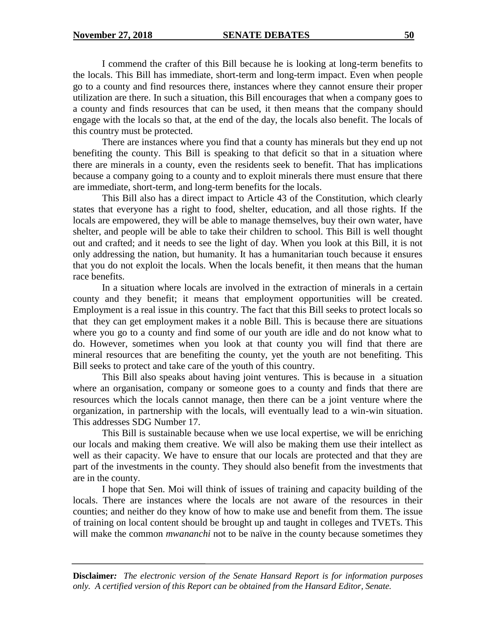I commend the crafter of this Bill because he is looking at long-term benefits to the locals. This Bill has immediate, short-term and long-term impact. Even when people go to a county and find resources there, instances where they cannot ensure their proper utilization are there. In such a situation, this Bill encourages that when a company goes to a county and finds resources that can be used, it then means that the company should engage with the locals so that, at the end of the day, the locals also benefit. The locals of this country must be protected.

There are instances where you find that a county has minerals but they end up not benefiting the county. This Bill is speaking to that deficit so that in a situation where there are minerals in a county, even the residents seek to benefit. That has implications because a company going to a county and to exploit minerals there must ensure that there are immediate, short-term, and long-term benefits for the locals.

This Bill also has a direct impact to Article 43 of the Constitution, which clearly states that everyone has a right to food, shelter, education, and all those rights. If the locals are empowered, they will be able to manage themselves, buy their own water, have shelter, and people will be able to take their children to school. This Bill is well thought out and crafted; and it needs to see the light of day. When you look at this Bill, it is not only addressing the nation, but humanity. It has a humanitarian touch because it ensures that you do not exploit the locals. When the locals benefit, it then means that the human race benefits.

In a situation where locals are involved in the extraction of minerals in a certain county and they benefit; it means that employment opportunities will be created. Employment is a real issue in this country. The fact that this Bill seeks to protect locals so that they can get employment makes it a noble Bill. This is because there are situations where you go to a county and find some of our youth are idle and do not know what to do. However, sometimes when you look at that county you will find that there are mineral resources that are benefiting the county, yet the youth are not benefiting. This Bill seeks to protect and take care of the youth of this country.

This Bill also speaks about having joint ventures. This is because in a situation where an organisation, company or someone goes to a county and finds that there are resources which the locals cannot manage, then there can be a joint venture where the organization, in partnership with the locals, will eventually lead to a win-win situation. This addresses SDG Number 17.

This Bill is sustainable because when we use local expertise, we will be enriching our locals and making them creative. We will also be making them use their intellect as well as their capacity. We have to ensure that our locals are protected and that they are part of the investments in the county. They should also benefit from the investments that are in the county.

I hope that Sen. Moi will think of issues of training and capacity building of the locals. There are instances where the locals are not aware of the resources in their counties; and neither do they know of how to make use and benefit from them. The issue of training on local content should be brought up and taught in colleges and TVETs. This will make the common *mwananchi* not to be naïve in the county because sometimes they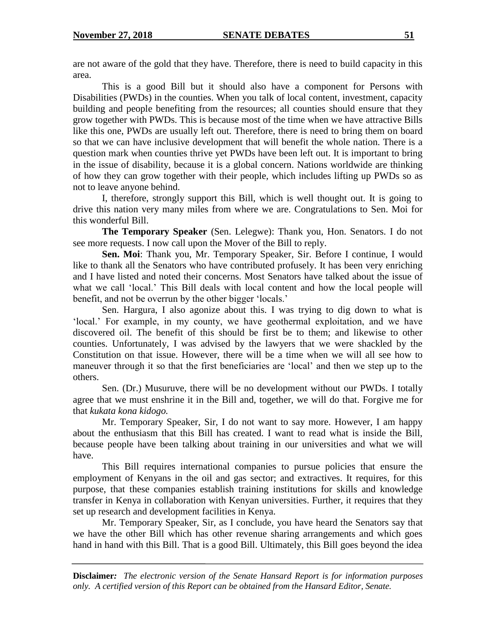are not aware of the gold that they have. Therefore, there is need to build capacity in this area.

This is a good Bill but it should also have a component for Persons with Disabilities (PWDs) in the counties. When you talk of local content, investment, capacity building and people benefiting from the resources; all counties should ensure that they grow together with PWDs. This is because most of the time when we have attractive Bills like this one, PWDs are usually left out. Therefore, there is need to bring them on board so that we can have inclusive development that will benefit the whole nation. There is a question mark when counties thrive yet PWDs have been left out. It is important to bring in the issue of disability, because it is a global concern. Nations worldwide are thinking of how they can grow together with their people, which includes lifting up PWDs so as not to leave anyone behind.

I, therefore, strongly support this Bill, which is well thought out. It is going to drive this nation very many miles from where we are. Congratulations to Sen. Moi for this wonderful Bill.

**The Temporary Speaker** (Sen. Lelegwe): Thank you, Hon. Senators. I do not see more requests. I now call upon the Mover of the Bill to reply.

**Sen. Moi**: Thank you, Mr. Temporary Speaker, Sir. Before I continue, I would like to thank all the Senators who have contributed profusely. It has been very enriching and I have listed and noted their concerns. Most Senators have talked about the issue of what we call 'local.' This Bill deals with local content and how the local people will benefit, and not be overrun by the other bigger 'locals.'

Sen. Hargura, I also agonize about this. I was trying to dig down to what is 'local.' For example, in my county, we have geothermal exploitation, and we have discovered oil. The benefit of this should be first be to them; and likewise to other counties. Unfortunately, I was advised by the lawyers that we were shackled by the Constitution on that issue. However, there will be a time when we will all see how to maneuver through it so that the first beneficiaries are 'local' and then we step up to the others.

Sen. (Dr.) Musuruve, there will be no development without our PWDs. I totally agree that we must enshrine it in the Bill and, together, we will do that. Forgive me for that *kukata kona kidogo.*

Mr. Temporary Speaker, Sir, I do not want to say more. However, I am happy about the enthusiasm that this Bill has created. I want to read what is inside the Bill, because people have been talking about training in our universities and what we will have.

This Bill requires international companies to pursue policies that ensure the employment of Kenyans in the oil and gas sector; and extractives. It requires, for this purpose, that these companies establish training institutions for skills and knowledge transfer in Kenya in collaboration with Kenyan universities. Further, it requires that they set up research and development facilities in Kenya.

Mr. Temporary Speaker, Sir, as I conclude, you have heard the Senators say that we have the other Bill which has other revenue sharing arrangements and which goes hand in hand with this Bill. That is a good Bill. Ultimately, this Bill goes beyond the idea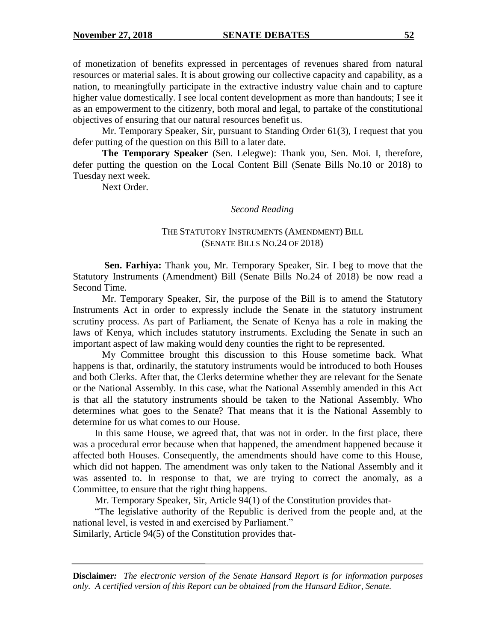of monetization of benefits expressed in percentages of revenues shared from natural resources or material sales. It is about growing our collective capacity and capability, as a nation, to meaningfully participate in the extractive industry value chain and to capture higher value domestically. I see local content development as more than handouts; I see it as an empowerment to the citizenry, both moral and legal, to partake of the constitutional objectives of ensuring that our natural resources benefit us.

Mr. Temporary Speaker, Sir, pursuant to Standing Order 61(3), I request that you defer putting of the question on this Bill to a later date.

**The Temporary Speaker** (Sen. Lelegwe): Thank you, Sen. Moi. I, therefore, defer putting the question on the Local Content Bill (Senate Bills No.10 or 2018) to Tuesday next week.

Next Order.

*Second Reading*

### THE STATUTORY INSTRUMENTS (AMENDMENT) BILL (SENATE BILLS NO.24 OF 2018)

**Sen. Farhiya:** Thank you, Mr. Temporary Speaker, Sir. I beg to move that the Statutory Instruments (Amendment) Bill (Senate Bills No.24 of 2018) be now read a Second Time.

Mr. Temporary Speaker, Sir, the purpose of the Bill is to amend the Statutory Instruments Act in order to expressly include the Senate in the statutory instrument scrutiny process. As part of Parliament, the Senate of Kenya has a role in making the laws of Kenya, which includes statutory instruments. Excluding the Senate in such an important aspect of law making would deny counties the right to be represented.

My Committee brought this discussion to this House sometime back. What happens is that, ordinarily, the statutory instruments would be introduced to both Houses and both Clerks. After that, the Clerks determine whether they are relevant for the Senate or the National Assembly. In this case, what the National Assembly amended in this Act is that all the statutory instruments should be taken to the National Assembly. Who determines what goes to the Senate? That means that it is the National Assembly to determine for us what comes to our House.

In this same House, we agreed that, that was not in order. In the first place, there was a procedural error because when that happened, the amendment happened because it affected both Houses. Consequently, the amendments should have come to this House, which did not happen. The amendment was only taken to the National Assembly and it was assented to. In response to that, we are trying to correct the anomaly, as a Committee, to ensure that the right thing happens.

Mr. Temporary Speaker, Sir, Article 94(1) of the Constitution provides that-

"The legislative authority of the Republic is derived from the people and, at the national level, is vested in and exercised by Parliament." Similarly, Article 94(5) of the Constitution provides that-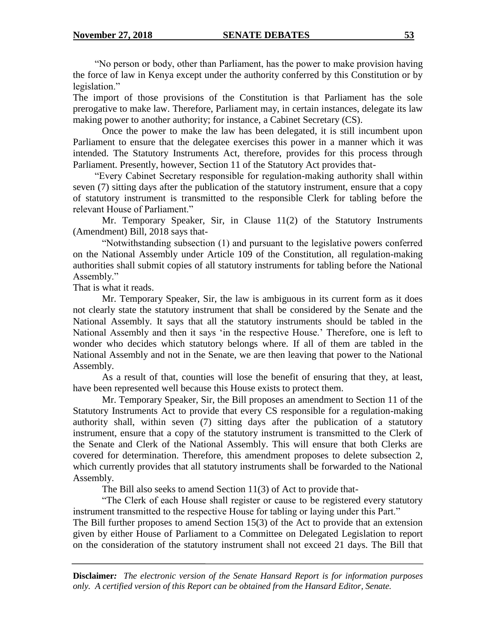"No person or body, other than Parliament, has the power to make provision having the force of law in Kenya except under the authority conferred by this Constitution or by legislation."

The import of those provisions of the Constitution is that Parliament has the sole prerogative to make law. Therefore, Parliament may, in certain instances, delegate its law making power to another authority; for instance, a Cabinet Secretary (CS).

Once the power to make the law has been delegated, it is still incumbent upon Parliament to ensure that the delegatee exercises this power in a manner which it was intended. The Statutory Instruments Act, therefore, provides for this process through Parliament. Presently, however, Section 11 of the Statutory Act provides that-

"Every Cabinet Secretary responsible for regulation-making authority shall within seven (7) sitting days after the publication of the statutory instrument, ensure that a copy of statutory instrument is transmitted to the responsible Clerk for tabling before the relevant House of Parliament."

Mr. Temporary Speaker, Sir, in Clause 11(2) of the Statutory Instruments (Amendment) Bill, 2018 says that-

"Notwithstanding subsection (1) and pursuant to the legislative powers conferred on the National Assembly under Article 109 of the Constitution, all regulation-making authorities shall submit copies of all statutory instruments for tabling before the National Assembly."

That is what it reads.

Mr. Temporary Speaker, Sir, the law is ambiguous in its current form as it does not clearly state the statutory instrument that shall be considered by the Senate and the National Assembly. It says that all the statutory instruments should be tabled in the National Assembly and then it says 'in the respective House.' Therefore, one is left to wonder who decides which statutory belongs where. If all of them are tabled in the National Assembly and not in the Senate, we are then leaving that power to the National Assembly.

As a result of that, counties will lose the benefit of ensuring that they, at least, have been represented well because this House exists to protect them.

Mr. Temporary Speaker, Sir, the Bill proposes an amendment to Section 11 of the Statutory Instruments Act to provide that every CS responsible for a regulation-making authority shall, within seven (7) sitting days after the publication of a statutory instrument, ensure that a copy of the statutory instrument is transmitted to the Clerk of the Senate and Clerk of the National Assembly. This will ensure that both Clerks are covered for determination. Therefore, this amendment proposes to delete subsection 2, which currently provides that all statutory instruments shall be forwarded to the National Assembly.

The Bill also seeks to amend Section 11(3) of Act to provide that-

"The Clerk of each House shall register or cause to be registered every statutory instrument transmitted to the respective House for tabling or laying under this Part."

The Bill further proposes to amend Section 15(3) of the Act to provide that an extension given by either House of Parliament to a Committee on Delegated Legislation to report on the consideration of the statutory instrument shall not exceed 21 days. The Bill that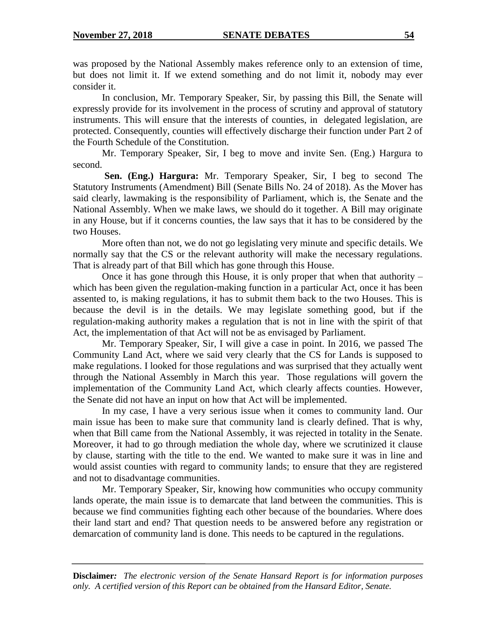was proposed by the National Assembly makes reference only to an extension of time, but does not limit it. If we extend something and do not limit it, nobody may ever consider it.

In conclusion, Mr. Temporary Speaker, Sir, by passing this Bill, the Senate will expressly provide for its involvement in the process of scrutiny and approval of statutory instruments. This will ensure that the interests of counties, in delegated legislation, are protected. Consequently, counties will effectively discharge their function under Part 2 of the Fourth Schedule of the Constitution.

Mr. Temporary Speaker, Sir, I beg to move and invite Sen. (Eng.) Hargura to second.

**Sen. (Eng.) Hargura:** Mr. Temporary Speaker, Sir, I beg to second The Statutory Instruments (Amendment) Bill (Senate Bills No. 24 of 2018). As the Mover has said clearly, lawmaking is the responsibility of Parliament, which is, the Senate and the National Assembly. When we make laws, we should do it together. A Bill may originate in any House, but if it concerns counties, the law says that it has to be considered by the two Houses.

More often than not, we do not go legislating very minute and specific details. We normally say that the CS or the relevant authority will make the necessary regulations. That is already part of that Bill which has gone through this House.

Once it has gone through this House, it is only proper that when that authority – which has been given the regulation-making function in a particular Act, once it has been assented to, is making regulations, it has to submit them back to the two Houses. This is because the devil is in the details. We may legislate something good, but if the regulation-making authority makes a regulation that is not in line with the spirit of that Act, the implementation of that Act will not be as envisaged by Parliament.

Mr. Temporary Speaker, Sir, I will give a case in point. In 2016, we passed The Community Land Act, where we said very clearly that the CS for Lands is supposed to make regulations. I looked for those regulations and was surprised that they actually went through the National Assembly in March this year. Those regulations will govern the implementation of the Community Land Act, which clearly affects counties. However, the Senate did not have an input on how that Act will be implemented.

In my case, I have a very serious issue when it comes to community land. Our main issue has been to make sure that community land is clearly defined. That is why, when that Bill came from the National Assembly, it was rejected in totality in the Senate. Moreover, it had to go through mediation the whole day, where we scrutinized it clause by clause, starting with the title to the end. We wanted to make sure it was in line and would assist counties with regard to community lands; to ensure that they are registered and not to disadvantage communities.

Mr. Temporary Speaker, Sir, knowing how communities who occupy community lands operate, the main issue is to demarcate that land between the communities. This is because we find communities fighting each other because of the boundaries. Where does their land start and end? That question needs to be answered before any registration or demarcation of community land is done. This needs to be captured in the regulations.